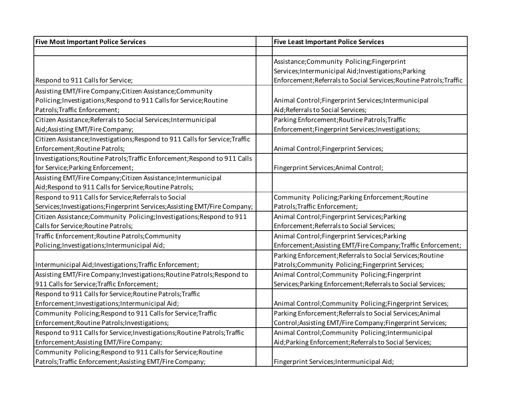| <b>Five Most Important Police Services</b>                                    | <b>Five Least Important Police Services</b>                         |
|-------------------------------------------------------------------------------|---------------------------------------------------------------------|
|                                                                               |                                                                     |
|                                                                               | Assistance; Community Policing; Fingerprint                         |
|                                                                               | Services; Intermunicipal Aid; Investigations; Parking               |
| Respond to 911 Calls for Service;                                             | Enforcement; Referrals to Social Services; Routine Patrols; Traffic |
| Assisting EMT/Fire Company; Citizen Assistance; Community                     |                                                                     |
| Policing; Investigations; Respond to 911 Calls for Service; Routine           | Animal Control; Fingerprint Services; Intermunicipal                |
| Patrols; Traffic Enforcement;                                                 | Aid; Referrals to Social Services;                                  |
| Citizen Assistance; Referrals to Social Services; Intermunicipal              | Parking Enforcement; Routine Patrols; Traffic                       |
| Aid; Assisting EMT/Fire Company;                                              | Enforcement;Fingerprint Services;Investigations;                    |
| Citizen Assistance; Investigations; Respond to 911 Calls for Service; Traffic |                                                                     |
| Enforcement; Routine Patrols;                                                 | Animal Control; Fingerprint Services;                               |
| Investigations; Routine Patrols; Traffic Enforcement; Respond to 911 Calls    |                                                                     |
| for Service; Parking Enforcement;                                             | Fingerprint Services; Animal Control;                               |
| Assisting EMT/Fire Company; Citizen Assistance; Intermunicipal                |                                                                     |
| Aid; Respond to 911 Calls for Service; Routine Patrols;                       |                                                                     |
| Respond to 911 Calls for Service; Referrals to Social                         | Community Policing; Parking Enforcement; Routine                    |
| Services; Investigations; Fingerprint Services; Assisting EMT/Fire Company;   | Patrols; Traffic Enforcement;                                       |
| Citizen Assistance; Community Policing; Investigations; Respond to 911        | Animal Control; Fingerprint Services; Parking                       |
| Calls for Service; Routine Patrols;                                           | Enforcement; Referrals to Social Services;                          |
| Traffic Enforcement; Routine Patrols; Community                               | Animal Control; Fingerprint Services; Parking                       |
| Policing; Investigations; Intermunicipal Aid;                                 | Enforcement; Assisting EMT/Fire Company; Traffic Enforcement;       |
|                                                                               | Parking Enforcement; Referrals to Social Services; Routine          |
| Intermunicipal Aid; Investigations; Traffic Enforcement;                      | Patrols;Community Policing;Fingerprint Services;                    |
| Assisting EMT/Fire Company; Investigations; Routine Patrols; Respond to       | Animal Control; Community Policing; Fingerprint                     |
| 911 Calls for Service; Traffic Enforcement;                                   | Services; Parking Enforcement; Referrals to Social Services;        |
| Respond to 911 Calls for Service; Routine Patrols; Traffic                    |                                                                     |
| Enforcement; Investigations; Intermunicipal Aid;                              | Animal Control; Community Policing; Fingerprint Services;           |
| Community Policing; Respond to 911 Calls for Service; Traffic                 | Parking Enforcement; Referrals to Social Services; Animal           |
| Enforcement; Routine Patrols; Investigations;                                 | Control; Assisting EMT/Fire Company; Fingerprint Services;          |
| Respond to 911 Calls for Service; Investigations; Routine Patrols; Traffic    | Animal Control; Community Policing; Intermunicipal                  |
| Enforcement; Assisting EMT/Fire Company;                                      | Aid; Parking Enforcement; Referrals to Social Services;             |
| Community Policing; Respond to 911 Calls for Service; Routine                 |                                                                     |
| Patrols; Traffic Enforcement; Assisting EMT/Fire Company;                     | Fingerprint Services; Intermunicipal Aid;                           |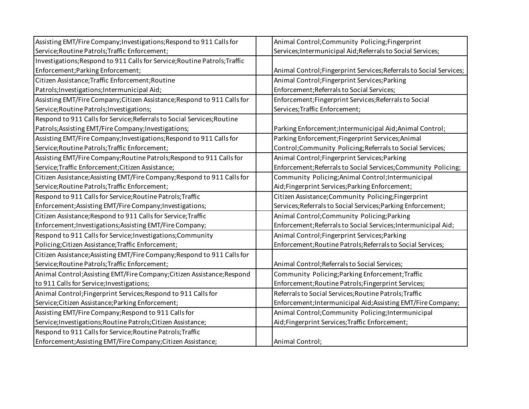| Assisting EMT/Fire Company; Investigations; Respond to 911 Calls for       | Animal Control; Community Policing; Fingerprint                     |
|----------------------------------------------------------------------------|---------------------------------------------------------------------|
| Service; Routine Patrols; Traffic Enforcement;                             | Services; Intermunicipal Aid; Referrals to Social Services;         |
| Investigations; Respond to 911 Calls for Service; Routine Patrols; Traffic |                                                                     |
| Enforcement; Parking Enforcement;                                          | Animal Control; Fingerprint Services; Referrals to Social Services; |
| Citizen Assistance; Traffic Enforcement; Routine                           | Animal Control; Fingerprint Services; Parking                       |
| Patrols; Investigations; Intermunicipal Aid;                               | Enforcement; Referrals to Social Services;                          |
| Assisting EMT/Fire Company; Citizen Assistance; Respond to 911 Calls for   | Enforcement; Fingerprint Services; Referrals to Social              |
| Service; Routine Patrols; Investigations;                                  | Services; Traffic Enforcement;                                      |
| Respond to 911 Calls for Service; Referrals to Social Services; Routine    |                                                                     |
| Patrols; Assisting EMT/Fire Company; Investigations;                       | Parking Enforcement; Intermunicipal Aid; Animal Control;            |
| Assisting EMT/Fire Company; Investigations; Respond to 911 Calls for       | Parking Enforcement; Fingerprint Services; Animal                   |
| Service; Routine Patrols; Traffic Enforcement;                             | Control; Community Policing; Referrals to Social Services;          |
| Assisting EMT/Fire Company; Routine Patrols; Respond to 911 Calls for      | Animal Control; Fingerprint Services; Parking                       |
| Service; Traffic Enforcement; Citizen Assistance;                          | Enforcement; Referrals to Social Services; Community Policing;      |
| Citizen Assistance; Assisting EMT/Fire Company; Respond to 911 Calls for   | Community Policing; Animal Control; Intermunicipal                  |
| Service; Routine Patrols; Traffic Enforcement;                             | Aid;Fingerprint Services;Parking Enforcement;                       |
| Respond to 911 Calls for Service; Routine Patrols; Traffic                 | Citizen Assistance; Community Policing; Fingerprint                 |
| Enforcement; Assisting EMT/Fire Company; Investigations;                   | Services; Referrals to Social Services; Parking Enforcement;        |
| Citizen Assistance; Respond to 911 Calls for Service; Traffic              | Animal Control; Community Policing; Parking                         |
| Enforcement; Investigations; Assisting EMT/Fire Company;                   | Enforcement; Referrals to Social Services; Intermunicipal Aid;      |
| Respond to 911 Calls for Service; Investigations; Community                | Animal Control; Fingerprint Services; Parking                       |
| Policing; Citizen Assistance; Traffic Enforcement;                         | Enforcement; Routine Patrols; Referrals to Social Services;         |
| Citizen Assistance; Assisting EMT/Fire Company; Respond to 911 Calls for   |                                                                     |
| Service; Routine Patrols; Traffic Enforcement;                             | Animal Control; Referrals to Social Services;                       |
| Animal Control; Assisting EMT/Fire Company; Citizen Assistance; Respond    | Community Policing; Parking Enforcement; Traffic                    |
| to 911 Calls for Service; Investigations;                                  | Enforcement; Routine Patrols; Fingerprint Services;                 |
| Animal Control; Fingerprint Services; Respond to 911 Calls for             | Referrals to Social Services; Routine Patrols; Traffic              |
| Service; Citizen Assistance; Parking Enforcement;                          | Enforcement; Intermunicipal Aid; Assisting EMT/Fire Company;        |
| Assisting EMT/Fire Company; Respond to 911 Calls for                       | Animal Control; Community Policing; Intermunicipal                  |
| Service; Investigations; Routine Patrols; Citizen Assistance;              | Aid;Fingerprint Services;Traffic Enforcement;                       |
| Respond to 911 Calls for Service; Routine Patrols; Traffic                 |                                                                     |
| Enforcement; Assisting EMT/Fire Company; Citizen Assistance;               | Animal Control;                                                     |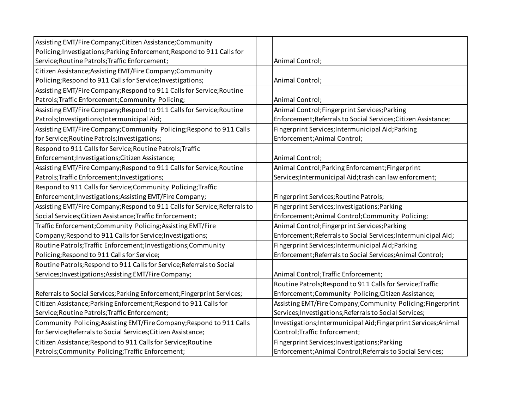| Assisting EMT/Fire Company; Citizen Assistance; Community                  |                                                                  |
|----------------------------------------------------------------------------|------------------------------------------------------------------|
| Policing; Investigations; Parking Enforcement; Respond to 911 Calls for    |                                                                  |
| Service; Routine Patrols; Traffic Enforcement;                             | Animal Control;                                                  |
| Citizen Assistance; Assisting EMT/Fire Company; Community                  |                                                                  |
| Policing; Respond to 911 Calls for Service; Investigations;                | Animal Control;                                                  |
| Assisting EMT/Fire Company; Respond to 911 Calls for Service; Routine      |                                                                  |
| Patrols; Traffic Enforcement; Community Policing;                          | Animal Control;                                                  |
| Assisting EMT/Fire Company; Respond to 911 Calls for Service; Routine      | Animal Control; Fingerprint Services; Parking                    |
| Patrols; Investigations; Intermunicipal Aid;                               | Enforcement; Referrals to Social Services; Citizen Assistance;   |
| Assisting EMT/Fire Company; Community Policing; Respond to 911 Calls       | Fingerprint Services; Intermunicipal Aid; Parking                |
| for Service; Routine Patrols; Investigations;                              | Enforcement; Animal Control;                                     |
| Respond to 911 Calls for Service; Routine Patrols; Traffic                 |                                                                  |
| Enforcement; Investigations; Citizen Assistance;                           | Animal Control;                                                  |
| Assisting EMT/Fire Company; Respond to 911 Calls for Service; Routine      | Animal Control; Parking Enforcement; Fingerprint                 |
| Patrols; Traffic Enforcement; Investigations;                              | Services; Intermunicipal Aid; trash can law enforcment;          |
| Respond to 911 Calls for Service; Community Policing; Traffic              |                                                                  |
| Enforcement; Investigations; Assisting EMT/Fire Company;                   | Fingerprint Services; Routine Patrols;                           |
| Assisting EMT/Fire Company; Respond to 911 Calls for Service; Referrals to | Fingerprint Services; Investigations; Parking                    |
| Social Services; Citizen Assistance; Traffic Enforcement;                  | Enforcement; Animal Control; Community Policing;                 |
| Traffic Enforcement; Community Policing; Assisting EMT/Fire                | Animal Control; Fingerprint Services; Parking                    |
| Company; Respond to 911 Calls for Service; Investigations;                 | Enforcement; Referrals to Social Services; Intermunicipal Aid;   |
| Routine Patrols; Traffic Enforcement; Investigations; Community            | Fingerprint Services; Intermunicipal Aid; Parking                |
| Policing; Respond to 911 Calls for Service;                                | Enforcement; Referrals to Social Services; Animal Control;       |
| Routine Patrols; Respond to 911 Calls for Service; Referrals to Social     |                                                                  |
| Services; Investigations; Assisting EMT/Fire Company;                      | Animal Control; Traffic Enforcement;                             |
|                                                                            | Routine Patrols; Respond to 911 Calls for Service; Traffic       |
| Referrals to Social Services; Parking Enforcement; Fingerprint Services;   | Enforcement;Community Policing;Citizen Assistance;               |
| Citizen Assistance; Parking Enforcement; Respond to 911 Calls for          | Assisting EMT/Fire Company; Community Policing; Fingerprint      |
| Service; Routine Patrols; Traffic Enforcement;                             | Services; Investigations; Referrals to Social Services;          |
| Community Policing; Assisting EMT/Fire Company; Respond to 911 Calls       | Investigations; Intermunicipal Aid; Fingerprint Services; Animal |
| for Service; Referrals to Social Services; Citizen Assistance;             | Control; Traffic Enforcement;                                    |
| Citizen Assistance; Respond to 911 Calls for Service; Routine              | Fingerprint Services; Investigations; Parking                    |
| Patrols; Community Policing; Traffic Enforcement;                          | Enforcement; Animal Control; Referrals to Social Services;       |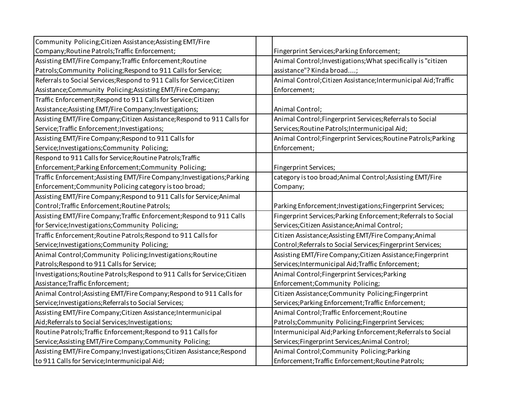| Community Policing; Citizen Assistance; Assisting EMT/Fire                 |                                                                 |
|----------------------------------------------------------------------------|-----------------------------------------------------------------|
| Company; Routine Patrols; Traffic Enforcement;                             | Fingerprint Services; Parking Enforcement;                      |
| Assisting EMT/Fire Company; Traffic Enforcement; Routine                   | Animal Control; Investigations; What specifically is "citizen   |
| Patrols; Community Policing; Respond to 911 Calls for Service;             | assistance"? Kinda broad;                                       |
| Referrals to Social Services; Respond to 911 Calls for Service; Citizen    | Animal Control; Citizen Assistance; Intermunicipal Aid; Traffic |
| Assistance;Community Policing;Assisting EMT/Fire Company;                  | Enforcement;                                                    |
| Traffic Enforcement; Respond to 911 Calls for Service; Citizen             |                                                                 |
| Assistance; Assisting EMT/Fire Company; Investigations;                    | Animal Control;                                                 |
| Assisting EMT/Fire Company; Citizen Assistance; Respond to 911 Calls for   | Animal Control; Fingerprint Services; Referrals to Social       |
| Service; Traffic Enforcement; Investigations;                              | Services; Routine Patrols; Intermunicipal Aid;                  |
| Assisting EMT/Fire Company; Respond to 911 Calls for                       | Animal Control; Fingerprint Services; Routine Patrols; Parking  |
| Service; Investigations; Community Policing;                               | Enforcement;                                                    |
| Respond to 911 Calls for Service; Routine Patrols; Traffic                 |                                                                 |
| Enforcement; Parking Enforcement; Community Policing;                      | Fingerprint Services;                                           |
| Traffic Enforcement; Assisting EMT/Fire Company; Investigations; Parking   | category is too broad; Animal Control; Assisting EMT/Fire       |
| Enforcement; Community Policing category is too broad;                     | Company;                                                        |
| Assisting EMT/Fire Company; Respond to 911 Calls for Service; Animal       |                                                                 |
| Control; Traffic Enforcement; Routine Patrols;                             | Parking Enforcement; Investigations; Fingerprint Services;      |
| Assisting EMT/Fire Company; Traffic Enforcement; Respond to 911 Calls      | Fingerprint Services; Parking Enforcement; Referrals to Social  |
| for Service; Investigations; Community Policing;                           | Services; Citizen Assistance; Animal Control;                   |
| Traffic Enforcement; Routine Patrols; Respond to 911 Calls for             | Citizen Assistance; Assisting EMT/Fire Company; Animal          |
| Service; Investigations; Community Policing;                               | Control; Referrals to Social Services; Fingerprint Services;    |
| Animal Control; Community Policing; Investigations; Routine                | Assisting EMT/Fire Company; Citizen Assistance; Fingerprint     |
| Patrols; Respond to 911 Calls for Service;                                 | Services; Intermunicipal Aid; Traffic Enforcement;              |
| Investigations; Routine Patrols; Respond to 911 Calls for Service; Citizen | Animal Control; Fingerprint Services; Parking                   |
| Assistance; Traffic Enforcement;                                           | Enforcement;Community Policing;                                 |
| Animal Control; Assisting EMT/Fire Company; Respond to 911 Calls for       | Citizen Assistance; Community Policing; Fingerprint             |
| Service; Investigations; Referrals to Social Services;                     | Services; Parking Enforcement; Traffic Enforcement;             |
| Assisting EMT/Fire Company; Citizen Assistance; Intermunicipal             | Animal Control; Traffic Enforcement; Routine                    |
|                                                                            |                                                                 |
| Aid; Referrals to Social Services; Investigations;                         | Patrols;Community Policing;Fingerprint Services;                |
| Routine Patrols; Traffic Enforcement; Respond to 911 Calls for             | Intermunicipal Aid; Parking Enforcement; Referrals to Social    |
| Service; Assisting EMT/Fire Company; Community Policing;                   | Services;Fingerprint Services;Animal Control;                   |
| Assisting EMT/Fire Company; Investigations; Citizen Assistance; Respond    | Animal Control; Community Policing; Parking                     |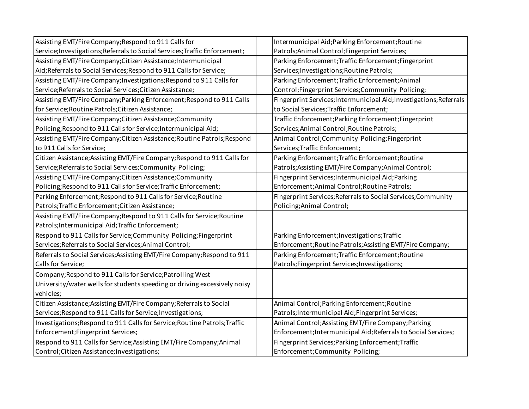| Assisting EMT/Fire Company; Respond to 911 Calls for                        | Intermunicipal Aid; Parking Enforcement; Routine                    |
|-----------------------------------------------------------------------------|---------------------------------------------------------------------|
| Service; Investigations; Referrals to Social Services; Traffic Enforcement; | Patrols; Animal Control; Fingerprint Services;                      |
| Assisting EMT/Fire Company; Citizen Assistance; Intermunicipal              | Parking Enforcement; Traffic Enforcement; Fingerprint               |
| Aid; Referrals to Social Services; Respond to 911 Calls for Service;        | Services; Investigations; Routine Patrols;                          |
| Assisting EMT/Fire Company; Investigations; Respond to 911 Calls for        | Parking Enforcement; Traffic Enforcement; Animal                    |
| Service; Referrals to Social Services; Citizen Assistance;                  | Control;Fingerprint Services;Community Policing;                    |
| Assisting EMT/Fire Company; Parking Enforcement; Respond to 911 Calls       | Fingerprint Services; Intermunicipal Aid; Investigations; Referrals |
| for Service; Routine Patrols; Citizen Assistance;                           | to Social Services; Traffic Enforcement;                            |
| Assisting EMT/Fire Company; Citizen Assistance; Community                   | Traffic Enforcement; Parking Enforcement; Fingerprint               |
| Policing; Respond to 911 Calls for Service; Intermunicipal Aid;             | Services; Animal Control; Routine Patrols;                          |
| Assisting EMT/Fire Company; Citizen Assistance; Routine Patrols; Respond    | Animal Control; Community Policing; Fingerprint                     |
| to 911 Calls for Service;                                                   | Services; Traffic Enforcement;                                      |
| Citizen Assistance; Assisting EMT/Fire Company; Respond to 911 Calls for    | Parking Enforcement; Traffic Enforcement; Routine                   |
| Service; Referrals to Social Services; Community Policing;                  | Patrols; Assisting EMT/Fire Company; Animal Control;                |
| Assisting EMT/Fire Company; Citizen Assistance; Community                   | Fingerprint Services; Intermunicipal Aid; Parking                   |
| Policing; Respond to 911 Calls for Service; Traffic Enforcement;            | Enforcement; Animal Control; Routine Patrols;                       |
| Parking Enforcement; Respond to 911 Calls for Service; Routine              | Fingerprint Services; Referrals to Social Services; Community       |
| Patrols; Traffic Enforcement; Citizen Assistance;                           | Policing; Animal Control;                                           |
| Assisting EMT/Fire Company; Respond to 911 Calls for Service; Routine       |                                                                     |
| Patrols; Intermunicipal Aid; Traffic Enforcement;                           |                                                                     |
| Respond to 911 Calls for Service; Community Policing; Fingerprint           | Parking Enforcement; Investigations; Traffic                        |
| Services; Referrals to Social Services; Animal Control;                     | Enforcement; Routine Patrols; Assisting EMT/Fire Company;           |
| Referrals to Social Services; Assisting EMT/Fire Company; Respond to 911    | Parking Enforcement; Traffic Enforcement; Routine                   |
| Calls for Service;                                                          | Patrols; Fingerprint Services; Investigations;                      |
| Company; Respond to 911 Calls for Service; Patrolling West                  |                                                                     |
| University/water wells for students speeding or driving excessively noisy   |                                                                     |
| vehicles;                                                                   |                                                                     |
| Citizen Assistance; Assisting EMT/Fire Company; Referrals to Social         | Animal Control; Parking Enforcement; Routine                        |
| Services; Respond to 911 Calls for Service; Investigations;                 | Patrols; Intermunicipal Aid; Fingerprint Services;                  |
| Investigations; Respond to 911 Calls for Service; Routine Patrols; Traffic  | Animal Control; Assisting EMT/Fire Company; Parking                 |
| Enforcement; Fingerprint Services;                                          | Enforcement; Intermunicipal Aid; Referrals to Social Services;      |
| Respond to 911 Calls for Service; Assisting EMT/Fire Company; Animal        | Fingerprint Services; Parking Enforcement; Traffic                  |
| Control; Citizen Assistance; Investigations;                                | Enforcement; Community Policing;                                    |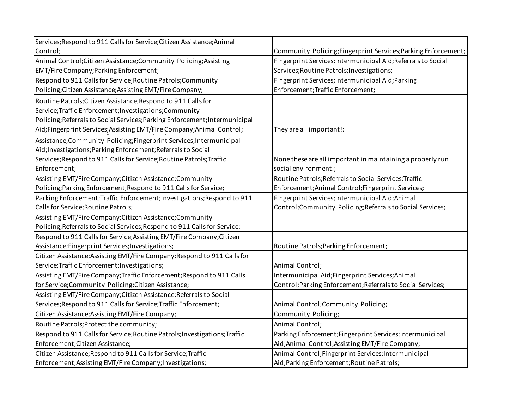| Services; Respond to 911 Calls for Service; Citizen Assistance; Animal      |                                                                |
|-----------------------------------------------------------------------------|----------------------------------------------------------------|
| Control;                                                                    | Community Policing; Fingerprint Services; Parking Enforcement; |
| Animal Control; Citizen Assistance; Community Policing; Assisting           | Fingerprint Services; Intermunicipal Aid; Referrals to Social  |
| EMT/Fire Company; Parking Enforcement;                                      | Services; Routine Patrols; Investigations;                     |
| Respond to 911 Calls for Service; Routine Patrols; Community                | Fingerprint Services; Intermunicipal Aid; Parking              |
| Policing; Citizen Assistance; Assisting EMT/Fire Company;                   | Enforcement; Traffic Enforcement;                              |
| Routine Patrols; Citizen Assistance; Respond to 911 Calls for               |                                                                |
| Service; Traffic Enforcement; Investigations; Community                     |                                                                |
| Policing; Referrals to Social Services; Parking Enforcement; Intermunicipal |                                                                |
| Aid;Fingerprint Services;Assisting EMT/Fire Company;Animal Control;         | They are all important!;                                       |
| Assistance; Community Policing; Fingerprint Services; Intermunicipal        |                                                                |
| Aid; Investigations; Parking Enforcement; Referrals to Social               |                                                                |
| Services; Respond to 911 Calls for Service; Routine Patrols; Traffic        | None these are all important in maintaining a properly run     |
| Enforcement;                                                                | social environment.;                                           |
| Assisting EMT/Fire Company; Citizen Assistance; Community                   | Routine Patrols; Referrals to Social Services; Traffic         |
| Policing; Parking Enforcement; Respond to 911 Calls for Service;            | Enforcement; Animal Control; Fingerprint Services;             |
| Parking Enforcement; Traffic Enforcement; Investigations; Respond to 911    | Fingerprint Services; Intermunicipal Aid; Animal               |
| Calls for Service; Routine Patrols;                                         | Control; Community Policing; Referrals to Social Services;     |
| Assisting EMT/Fire Company; Citizen Assistance; Community                   |                                                                |
| Policing; Referrals to Social Services; Respond to 911 Calls for Service;   |                                                                |
| Respond to 911 Calls for Service; Assisting EMT/Fire Company; Citizen       |                                                                |
| Assistance;Fingerprint Services;Investigations;                             | Routine Patrols; Parking Enforcement;                          |
| Citizen Assistance; Assisting EMT/Fire Company; Respond to 911 Calls for    |                                                                |
| Service; Traffic Enforcement; Investigations;                               | Animal Control;                                                |
| Assisting EMT/Fire Company; Traffic Enforcement; Respond to 911 Calls       | Intermunicipal Aid; Fingerprint Services; Animal               |
| for Service; Community Policing; Citizen Assistance;                        | Control; Parking Enforcement; Referrals to Social Services;    |
| Assisting EMT/Fire Company; Citizen Assistance; Referrals to Social         |                                                                |
| Services; Respond to 911 Calls for Service; Traffic Enforcement;            | Animal Control; Community Policing;                            |
| Citizen Assistance; Assisting EMT/Fire Company;                             | Community Policing;                                            |
| Routine Patrols; Protect the community;                                     | Animal Control;                                                |
| Respond to 911 Calls for Service; Routine Patrols; Investigations; Traffic  | Parking Enforcement; Fingerprint Services; Intermunicipal      |
| Enforcement; Citizen Assistance;                                            | Aid; Animal Control; Assisting EMT/Fire Company;               |
| Citizen Assistance; Respond to 911 Calls for Service; Traffic               | Animal Control; Fingerprint Services; Intermunicipal           |
| Enforcement; Assisting EMT/Fire Company; Investigations;                    | Aid; Parking Enforcement; Routine Patrols;                     |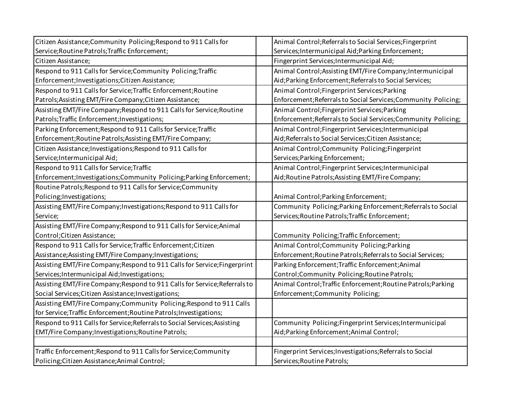| Citizen Assistance; Community Policing; Respond to 911 Calls for           | Animal Control; Referrals to Social Services; Fingerprint      |
|----------------------------------------------------------------------------|----------------------------------------------------------------|
| Service; Routine Patrols; Traffic Enforcement;                             | Services; Intermunicipal Aid; Parking Enforcement;             |
| Citizen Assistance;                                                        | Fingerprint Services; Intermunicipal Aid;                      |
| Respond to 911 Calls for Service; Community Policing; Traffic              | Animal Control; Assisting EMT/Fire Company; Intermunicipal     |
| Enforcement; Investigations; Citizen Assistance;                           | Aid; Parking Enforcement; Referrals to Social Services;        |
| Respond to 911 Calls for Service; Traffic Enforcement; Routine             | Animal Control; Fingerprint Services; Parking                  |
| Patrols; Assisting EMT/Fire Company; Citizen Assistance;                   | Enforcement; Referrals to Social Services; Community Policing; |
| Assisting EMT/Fire Company; Respond to 911 Calls for Service; Routine      | Animal Control; Fingerprint Services; Parking                  |
| Patrols; Traffic Enforcement; Investigations;                              | Enforcement; Referrals to Social Services; Community Policing; |
| Parking Enforcement; Respond to 911 Calls for Service; Traffic             | Animal Control; Fingerprint Services; Intermunicipal           |
| Enforcement; Routine Patrols; Assisting EMT/Fire Company;                  | Aid; Referrals to Social Services; Citizen Assistance;         |
| Citizen Assistance; Investigations; Respond to 911 Calls for               | Animal Control; Community Policing; Fingerprint                |
| Service; Intermunicipal Aid;                                               | Services; Parking Enforcement;                                 |
| Respond to 911 Calls for Service; Traffic                                  | Animal Control; Fingerprint Services; Intermunicipal           |
| Enforcement; Investigations; Community Policing; Parking Enforcement;      | Aid; Routine Patrols; Assisting EMT/Fire Company;              |
| Routine Patrols; Respond to 911 Calls for Service; Community               |                                                                |
| Policing; Investigations;                                                  | Animal Control; Parking Enforcement;                           |
| Assisting EMT/Fire Company; Investigations; Respond to 911 Calls for       | Community Policing; Parking Enforcement; Referrals to Social   |
| Service;                                                                   | Services; Routine Patrols; Traffic Enforcement;                |
| Assisting EMT/Fire Company; Respond to 911 Calls for Service; Animal       |                                                                |
| Control; Citizen Assistance;                                               | Community Policing; Traffic Enforcement;                       |
| Respond to 911 Calls for Service; Traffic Enforcement; Citizen             | Animal Control; Community Policing; Parking                    |
| Assistance; Assisting EMT/Fire Company; Investigations;                    | Enforcement; Routine Patrols; Referrals to Social Services;    |
| Assisting EMT/Fire Company; Respond to 911 Calls for Service; Fingerprint  | Parking Enforcement; Traffic Enforcement; Animal               |
| Services; Intermunicipal Aid; Investigations;                              | Control;Community Policing;Routine Patrols;                    |
| Assisting EMT/Fire Company; Respond to 911 Calls for Service; Referrals to | Animal Control; Traffic Enforcement; Routine Patrols; Parking  |
| Social Services; Citizen Assistance; Investigations;                       | Enforcement;Community Policing;                                |
| Assisting EMT/Fire Company; Community Policing; Respond to 911 Calls       |                                                                |
| for Service; Traffic Enforcement; Routine Patrols; Investigations;         |                                                                |
| Respond to 911 Calls for Service; Referrals to Social Services; Assisting  | Community Policing; Fingerprint Services; Intermunicipal       |
| EMT/Fire Company; Investigations; Routine Patrols;                         | Aid; Parking Enforcement; Animal Control;                      |
|                                                                            |                                                                |
| Traffic Enforcement; Respond to 911 Calls for Service; Community           | Fingerprint Services; Investigations; Referrals to Social      |
| Policing; Citizen Assistance; Animal Control;                              | Services; Routine Patrols;                                     |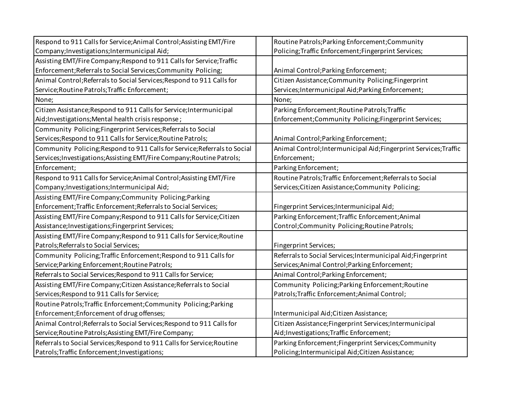| Respond to 911 Calls for Service; Animal Control; Assisting EMT/Fire      | Routine Patrols; Parking Enforcement; Community                   |
|---------------------------------------------------------------------------|-------------------------------------------------------------------|
| Company; Investigations; Intermunicipal Aid;                              | Policing; Traffic Enforcement; Fingerprint Services;              |
| Assisting EMT/Fire Company; Respond to 911 Calls for Service; Traffic     |                                                                   |
| Enforcement; Referrals to Social Services; Community Policing;            | Animal Control; Parking Enforcement;                              |
| Animal Control; Referrals to Social Services; Respond to 911 Calls for    | Citizen Assistance; Community Policing; Fingerprint               |
| Service; Routine Patrols; Traffic Enforcement;                            | Services; Intermunicipal Aid; Parking Enforcement;                |
| None;                                                                     | None;                                                             |
| Citizen Assistance; Respond to 911 Calls for Service; Intermunicipal      | Parking Enforcement; Routine Patrols; Traffic                     |
| Aid; Investigations; Mental health crisis response;                       | Enforcement;Community Policing;Fingerprint Services;              |
| Community Policing; Fingerprint Services; Referrals to Social             |                                                                   |
| Services; Respond to 911 Calls for Service; Routine Patrols;              | Animal Control; Parking Enforcement;                              |
| Community Policing; Respond to 911 Calls for Service; Referrals to Social | Animal Control; Intermunicipal Aid; Fingerprint Services; Traffic |
| Services; Investigations; Assisting EMT/Fire Company; Routine Patrols;    | Enforcement;                                                      |
| Enforcement;                                                              | Parking Enforcement;                                              |
| Respond to 911 Calls for Service; Animal Control; Assisting EMT/Fire      | Routine Patrols; Traffic Enforcement; Referrals to Social         |
| Company; Investigations; Intermunicipal Aid;                              | Services; Citizen Assistance; Community Policing;                 |
| Assisting EMT/Fire Company; Community Policing; Parking                   |                                                                   |
| Enforcement; Traffic Enforcement; Referrals to Social Services;           | Fingerprint Services; Intermunicipal Aid;                         |
| Assisting EMT/Fire Company; Respond to 911 Calls for Service; Citizen     | Parking Enforcement; Traffic Enforcement; Animal                  |
| Assistance; Investigations; Fingerprint Services;                         | Control;Community Policing;Routine Patrols;                       |
| Assisting EMT/Fire Company; Respond to 911 Calls for Service; Routine     |                                                                   |
| Patrols; Referrals to Social Services;                                    | Fingerprint Services;                                             |
| Community Policing; Traffic Enforcement; Respond to 911 Calls for         | Referrals to Social Services; Intermunicipal Aid; Fingerprint     |
| Service; Parking Enforcement; Routine Patrols;                            | Services; Animal Control; Parking Enforcement;                    |
| Referrals to Social Services; Respond to 911 Calls for Service;           | Animal Control; Parking Enforcement;                              |
| Assisting EMT/Fire Company; Citizen Assistance; Referrals to Social       | Community Policing; Parking Enforcement; Routine                  |
| Services; Respond to 911 Calls for Service;                               | Patrols; Traffic Enforcement; Animal Control;                     |
| Routine Patrols; Traffic Enforcement; Community Policing; Parking         |                                                                   |
| Enforcement; Enforcement of drug offenses;                                | Intermunicipal Aid; Citizen Assistance;                           |
| Animal Control; Referrals to Social Services; Respond to 911 Calls for    | Citizen Assistance; Fingerprint Services; Intermunicipal          |
| Service; Routine Patrols; Assisting EMT/Fire Company;                     | Aid; Investigations; Traffic Enforcement;                         |
| Referrals to Social Services; Respond to 911 Calls for Service; Routine   | Parking Enforcement; Fingerprint Services; Community              |
| Patrols; Traffic Enforcement; Investigations;                             | Policing; Intermunicipal Aid; Citizen Assistance;                 |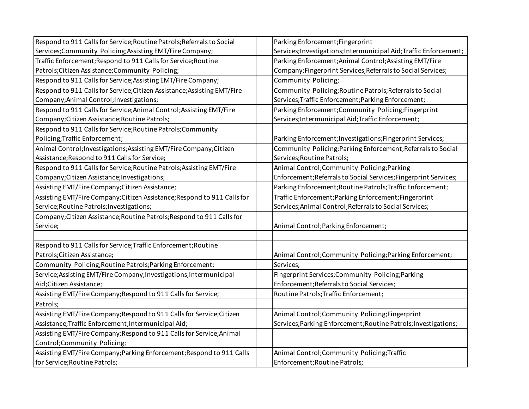| Respond to 911 Calls for Service; Routine Patrols; Referrals to Social   | Parking Enforcement; Fingerprint                                   |
|--------------------------------------------------------------------------|--------------------------------------------------------------------|
| Services; Community Policing; Assisting EMT/Fire Company;                | Services; Investigations; Intermunicipal Aid; Traffic Enforcement; |
| Traffic Enforcement; Respond to 911 Calls for Service; Routine           | Parking Enforcement; Animal Control; Assisting EMT/Fire            |
| Patrols; Citizen Assistance; Community Policing;                         | Company; Fingerprint Services; Referrals to Social Services;       |
| Respond to 911 Calls for Service; Assisting EMT/Fire Company;            | Community Policing;                                                |
| Respond to 911 Calls for Service; Citizen Assistance; Assisting EMT/Fire | Community Policing; Routine Patrols; Referrals to Social           |
| Company; Animal Control; Investigations;                                 | Services; Traffic Enforcement; Parking Enforcement;                |
| Respond to 911 Calls for Service; Animal Control; Assisting EMT/Fire     | Parking Enforcement; Community Policing; Fingerprint               |
| Company; Citizen Assistance; Routine Patrols;                            | Services; Intermunicipal Aid; Traffic Enforcement;                 |
| Respond to 911 Calls for Service; Routine Patrols; Community             |                                                                    |
| Policing; Traffic Enforcement;                                           | Parking Enforcement; Investigations; Fingerprint Services;         |
| Animal Control; Investigations; Assisting EMT/Fire Company; Citizen      | Community Policing; Parking Enforcement; Referrals to Social       |
| Assistance; Respond to 911 Calls for Service;                            | Services; Routine Patrols;                                         |
| Respond to 911 Calls for Service; Routine Patrols; Assisting EMT/Fire    | Animal Control; Community Policing; Parking                        |
| Company; Citizen Assistance; Investigations;                             | Enforcement; Referrals to Social Services; Fingerprint Services;   |
| Assisting EMT/Fire Company; Citizen Assistance;                          | Parking Enforcement; Routine Patrols; Traffic Enforcement;         |
| Assisting EMT/Fire Company; Citizen Assistance; Respond to 911 Calls for | Traffic Enforcement; Parking Enforcement; Fingerprint              |
| Service; Routine Patrols; Investigations;                                | Services; Animal Control; Referrals to Social Services;            |
| Company; Citizen Assistance; Routine Patrols; Respond to 911 Calls for   |                                                                    |
| Service;                                                                 | Animal Control; Parking Enforcement;                               |
|                                                                          |                                                                    |
| Respond to 911 Calls for Service; Traffic Enforcement; Routine           |                                                                    |
| Patrols; Citizen Assistance;                                             | Animal Control; Community Policing; Parking Enforcement;           |
| Community Policing; Routine Patrols; Parking Enforcement;                | Services;                                                          |
| Service; Assisting EMT/Fire Company; Investigations; Intermunicipal      | Fingerprint Services; Community Policing; Parking                  |
| Aid; Citizen Assistance;                                                 | Enforcement; Referrals to Social Services;                         |
| Assisting EMT/Fire Company; Respond to 911 Calls for Service;            | Routine Patrols; Traffic Enforcement;                              |
| Patrols;                                                                 |                                                                    |
| Assisting EMT/Fire Company; Respond to 911 Calls for Service; Citizen    | Animal Control; Community Policing; Fingerprint                    |
| Assistance; Traffic Enforcement; Intermunicipal Aid;                     | Services; Parking Enforcement; Routine Patrols; Investigations;    |
| Assisting EMT/Fire Company; Respond to 911 Calls for Service; Animal     |                                                                    |
| Control;Community Policing;                                              |                                                                    |
| Assisting EMT/Fire Company; Parking Enforcement; Respond to 911 Calls    | Animal Control; Community Policing; Traffic                        |
| for Service; Routine Patrols;                                            | Enforcement; Routine Patrols;                                      |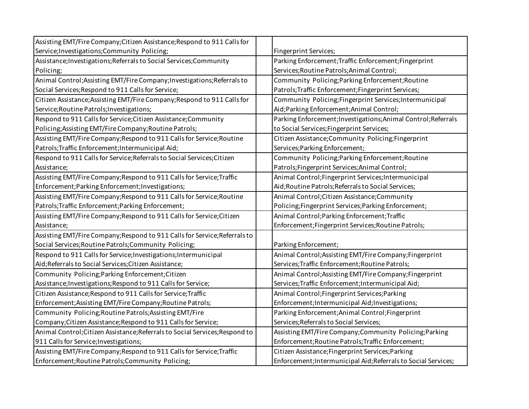| Assisting EMT/Fire Company; Citizen Assistance; Respond to 911 Calls for     |                                                                |
|------------------------------------------------------------------------------|----------------------------------------------------------------|
| Service; Investigations; Community Policing;                                 | Fingerprint Services;                                          |
| Assistance; Investigations; Referrals to Social Services; Community          | Parking Enforcement; Traffic Enforcement; Fingerprint          |
| Policing;                                                                    | Services; Routine Patrols; Animal Control;                     |
| Animal Control; Assisting EMT/Fire Company; Investigations; Referrals to     | Community Policing; Parking Enforcement; Routine               |
| Social Services; Respond to 911 Calls for Service;                           | Patrols; Traffic Enforcement; Fingerprint Services;            |
| Citizen Assistance; Assisting EMT/Fire Company; Respond to 911 Calls for     | Community Policing; Fingerprint Services; Intermunicipal       |
| Service; Routine Patrols; Investigations;                                    | Aid; Parking Enforcement; Animal Control;                      |
| Respond to 911 Calls for Service; Citizen Assistance; Community              | Parking Enforcement; Investigations; Animal Control; Referrals |
| Policing; Assisting EMT/Fire Company; Routine Patrols;                       | to Social Services; Fingerprint Services;                      |
| Assisting EMT/Fire Company; Respond to 911 Calls for Service; Routine        | Citizen Assistance; Community Policing; Fingerprint            |
| Patrols; Traffic Enforcement; Intermunicipal Aid;                            | Services; Parking Enforcement;                                 |
| Respond to 911 Calls for Service; Referrals to Social Services; Citizen      | Community Policing; Parking Enforcement; Routine               |
| Assistance;                                                                  | Patrols; Fingerprint Services; Animal Control;                 |
| Assisting EMT/Fire Company; Respond to 911 Calls for Service; Traffic        | Animal Control; Fingerprint Services; Intermunicipal           |
| Enforcement; Parking Enforcement; Investigations;                            | Aid; Routine Patrols; Referrals to Social Services;            |
| Assisting EMT/Fire Company; Respond to 911 Calls for Service; Routine        | Animal Control; Citizen Assistance; Community                  |
| Patrols; Traffic Enforcement; Parking Enforcement;                           | Policing;Fingerprint Services;Parking Enforcement;             |
| Assisting EMT/Fire Company; Respond to 911 Calls for Service; Citizen        | Animal Control; Parking Enforcement; Traffic                   |
| Assistance;                                                                  | Enforcement; Fingerprint Services; Routine Patrols;            |
| Assisting EMT/Fire Company; Respond to 911 Calls for Service; Referrals to   |                                                                |
| Social Services; Routine Patrols; Community Policing;                        | Parking Enforcement;                                           |
| Respond to 911 Calls for Service; Investigations; Intermunicipal             | Animal Control; Assisting EMT/Fire Company; Fingerprint        |
| Aid; Referrals to Social Services; Citizen Assistance;                       | Services; Traffic Enforcement; Routine Patrols;                |
| Community Policing; Parking Enforcement; Citizen                             | Animal Control; Assisting EMT/Fire Company; Fingerprint        |
| Assistance; Investigations; Respond to 911 Calls for Service;                | Services; Traffic Enforcement; Intermunicipal Aid;             |
| Citizen Assistance; Respond to 911 Calls for Service; Traffic                | Animal Control; Fingerprint Services; Parking                  |
| Enforcement; Assisting EMT/Fire Company; Routine Patrols;                    | Enforcement; Intermunicipal Aid; Investigations;               |
| Community Policing; Routine Patrols; Assisting EMT/Fire                      | Parking Enforcement; Animal Control; Fingerprint               |
| Company; Citizen Assistance; Respond to 911 Calls for Service;               | Services; Referrals to Social Services;                        |
| Animal Control; Citizen Assistance; Referrals to Social Services; Respond to | Assisting EMT/Fire Company; Community Policing; Parking        |
| 911 Calls for Service; Investigations;                                       | Enforcement; Routine Patrols; Traffic Enforcement;             |
| Assisting EMT/Fire Company; Respond to 911 Calls for Service; Traffic        | Citizen Assistance; Fingerprint Services; Parking              |
| Enforcement; Routine Patrols; Community Policing;                            | Enforcement; Intermunicipal Aid; Referrals to Social Services; |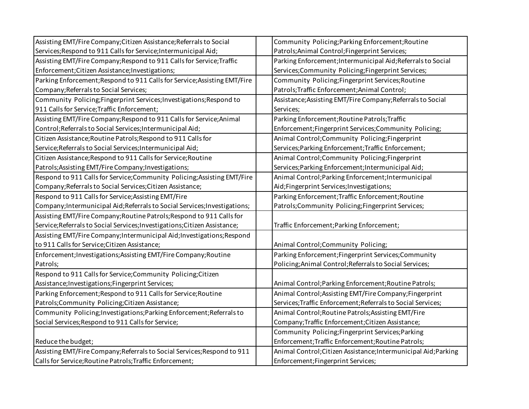| Assisting EMT/Fire Company; Citizen Assistance; Referrals to Social        | Community Policing; Parking Enforcement; Routine                |
|----------------------------------------------------------------------------|-----------------------------------------------------------------|
| Services; Respond to 911 Calls for Service; Intermunicipal Aid;            | Patrols; Animal Control; Fingerprint Services;                  |
| Assisting EMT/Fire Company; Respond to 911 Calls for Service; Traffic      | Parking Enforcement; Intermunicipal Aid; Referrals to Social    |
| Enforcement; Citizen Assistance; Investigations;                           | Services; Community Policing; Fingerprint Services;             |
| Parking Enforcement; Respond to 911 Calls for Service; Assisting EMT/Fire  | Community Policing; Fingerprint Services; Routine               |
| Company; Referrals to Social Services;                                     | Patrols; Traffic Enforcement; Animal Control;                   |
| Community Policing; Fingerprint Services; Investigations; Respond to       | Assistance; Assisting EMT/Fire Company; Referrals to Social     |
| 911 Calls for Service; Traffic Enforcement;                                | Services;                                                       |
| Assisting EMT/Fire Company; Respond to 911 Calls for Service; Animal       | Parking Enforcement; Routine Patrols; Traffic                   |
| Control; Referrals to Social Services; Intermunicipal Aid;                 | Enforcement;Fingerprint Services;Community Policing;            |
| Citizen Assistance; Routine Patrols; Respond to 911 Calls for              | Animal Control; Community Policing; Fingerprint                 |
| Service; Referrals to Social Services; Intermunicipal Aid;                 | Services; Parking Enforcement; Traffic Enforcement;             |
| Citizen Assistance; Respond to 911 Calls for Service; Routine              | Animal Control; Community Policing; Fingerprint                 |
| Patrols; Assisting EMT/Fire Company; Investigations;                       | Services; Parking Enforcement; Intermunicipal Aid;              |
| Respond to 911 Calls for Service; Community Policing; Assisting EMT/Fire   | Animal Control; Parking Enforcement; Intermunicipal             |
| Company; Referrals to Social Services; Citizen Assistance;                 | Aid;Fingerprint Services;Investigations;                        |
| Respond to 911 Calls for Service; Assisting EMT/Fire                       | Parking Enforcement; Traffic Enforcement; Routine               |
| Company; Intermunicipal Aid; Referrals to Social Services; Investigations; | Patrols; Community Policing; Fingerprint Services;              |
| Assisting EMT/Fire Company; Routine Patrols; Respond to 911 Calls for      |                                                                 |
| Service; Referrals to Social Services; Investigations; Citizen Assistance; | Traffic Enforcement; Parking Enforcement;                       |
| Assisting EMT/Fire Company; Intermunicipal Aid; Investigations; Respond    |                                                                 |
| to 911 Calls for Service; Citizen Assistance;                              | Animal Control; Community Policing;                             |
| Enforcement; Investigations; Assisting EMT/Fire Company; Routine           | Parking Enforcement; Fingerprint Services; Community            |
| Patrols;                                                                   | Policing; Animal Control; Referrals to Social Services;         |
| Respond to 911 Calls for Service; Community Policing; Citizen              |                                                                 |
| Assistance; Investigations; Fingerprint Services;                          | Animal Control; Parking Enforcement; Routine Patrols;           |
| Parking Enforcement; Respond to 911 Calls for Service; Routine             | Animal Control; Assisting EMT/Fire Company; Fingerprint         |
| Patrols;Community Policing;Citizen Assistance;                             | Services; Traffic Enforcement; Referrals to Social Services;    |
| Community Policing; Investigations; Parking Enforcement; Referrals to      | Animal Control; Routine Patrols; Assisting EMT/Fire             |
| Social Services; Respond to 911 Calls for Service;                         | Company; Traffic Enforcement; Citizen Assistance;               |
|                                                                            | Community Policing; Fingerprint Services; Parking               |
| Reduce the budget;                                                         | Enforcement; Traffic Enforcement; Routine Patrols;              |
| Assisting EMT/Fire Company; Referrals to Social Services; Respond to 911   | Animal Control; Citizen Assistance; Intermunicipal Aid; Parking |
| Calls for Service; Routine Patrols; Traffic Enforcement;                   | Enforcement; Fingerprint Services;                              |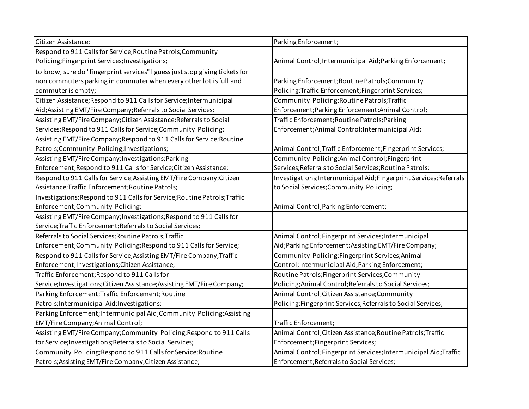| Citizen Assistance;                                                          | Parking Enforcement;                                                |
|------------------------------------------------------------------------------|---------------------------------------------------------------------|
| Respond to 911 Calls for Service; Routine Patrols; Community                 |                                                                     |
| Policing; Fingerprint Services; Investigations;                              | Animal Control; Intermunicipal Aid; Parking Enforcement;            |
| to know, sure do "fingerprint services" I guess just stop giving tickets for |                                                                     |
| non commuters parking in commuter when every other lot is full and           | Parking Enforcement; Routine Patrols; Community                     |
| commuter is empty;                                                           | Policing; Traffic Enforcement; Fingerprint Services;                |
| Citizen Assistance; Respond to 911 Calls for Service; Intermunicipal         | Community Policing; Routine Patrols; Traffic                        |
| Aid; Assisting EMT/Fire Company; Referrals to Social Services;               | Enforcement; Parking Enforcement; Animal Control;                   |
| Assisting EMT/Fire Company; Citizen Assistance; Referrals to Social          | Traffic Enforcement; Routine Patrols; Parking                       |
| Services; Respond to 911 Calls for Service; Community Policing;              | Enforcement; Animal Control; Intermunicipal Aid;                    |
| Assisting EMT/Fire Company; Respond to 911 Calls for Service; Routine        |                                                                     |
| Patrols; Community Policing; Investigations;                                 | Animal Control; Traffic Enforcement; Fingerprint Services;          |
| Assisting EMT/Fire Company; Investigations; Parking                          | Community Policing; Animal Control; Fingerprint                     |
| Enforcement; Respond to 911 Calls for Service; Citizen Assistance;           | Services; Referrals to Social Services; Routine Patrols;            |
| Respond to 911 Calls for Service; Assisting EMT/Fire Company; Citizen        | Investigations; Intermunicipal Aid; Fingerprint Services; Referrals |
| Assistance; Traffic Enforcement; Routine Patrols;                            | to Social Services; Community Policing;                             |
| Investigations; Respond to 911 Calls for Service; Routine Patrols; Traffic   |                                                                     |
| Enforcement; Community Policing;                                             | Animal Control; Parking Enforcement;                                |
| Assisting EMT/Fire Company; Investigations; Respond to 911 Calls for         |                                                                     |
| Service; Traffic Enforcement; Referrals to Social Services;                  |                                                                     |
| Referrals to Social Services; Routine Patrols; Traffic                       | Animal Control; Fingerprint Services; Intermunicipal                |
| Enforcement; Community Policing; Respond to 911 Calls for Service;           | Aid; Parking Enforcement; Assisting EMT/Fire Company;               |
| Respond to 911 Calls for Service; Assisting EMT/Fire Company; Traffic        | Community Policing; Fingerprint Services; Animal                    |
| Enforcement; Investigations; Citizen Assistance;                             | Control; Intermunicipal Aid; Parking Enforcement;                   |
| Traffic Enforcement; Respond to 911 Calls for                                | Routine Patrols; Fingerprint Services; Community                    |
| Service; Investigations; Citizen Assistance; Assisting EMT/Fire Company;     | Policing; Animal Control; Referrals to Social Services;             |
| Parking Enforcement; Traffic Enforcement; Routine                            | Animal Control; Citizen Assistance; Community                       |
| Patrols; Intermunicipal Aid; Investigations;                                 | Policing; Fingerprint Services; Referrals to Social Services;       |
| Parking Enforcement; Intermunicipal Aid; Community Policing; Assisting       |                                                                     |
| EMT/Fire Company; Animal Control;                                            | Traffic Enforcement;                                                |
| Assisting EMT/Fire Company; Community Policing; Respond to 911 Calls         | Animal Control; Citizen Assistance; Routine Patrols; Traffic        |
| for Service; Investigations; Referrals to Social Services;                   | Enforcement; Fingerprint Services;                                  |
| Community Policing; Respond to 911 Calls for Service; Routine                | Animal Control; Fingerprint Services; Intermunicipal Aid; Traffic   |
| Patrols; Assisting EMT/Fire Company; Citizen Assistance;                     | Enforcement; Referrals to Social Services;                          |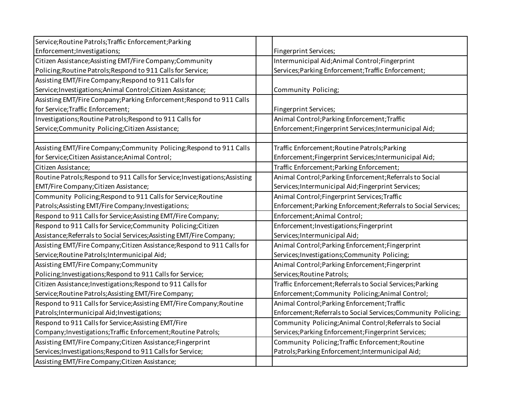| Service;Routine Patrols;Traffic Enforcement;Parking                          |                                                                 |
|------------------------------------------------------------------------------|-----------------------------------------------------------------|
| Enforcement; Investigations;                                                 | Fingerprint Services;                                           |
| Citizen Assistance; Assisting EMT/Fire Company; Community                    | Intermunicipal Aid; Animal Control; Fingerprint                 |
| Policing; Routine Patrols; Respond to 911 Calls for Service;                 | Services; Parking Enforcement; Traffic Enforcement;             |
| Assisting EMT/Fire Company; Respond to 911 Calls for                         |                                                                 |
| Service; Investigations; Animal Control; Citizen Assistance;                 | Community Policing;                                             |
| Assisting EMT/Fire Company; Parking Enforcement; Respond to 911 Calls        |                                                                 |
| for Service; Traffic Enforcement;                                            | Fingerprint Services;                                           |
| Investigations; Routine Patrols; Respond to 911 Calls for                    | Animal Control; Parking Enforcement; Traffic                    |
| Service;Community Policing;Citizen Assistance;                               | Enforcement;Fingerprint Services;Intermunicipal Aid;            |
|                                                                              |                                                                 |
| Assisting EMT/Fire Company; Community Policing; Respond to 911 Calls         | Traffic Enforcement; Routine Patrols; Parking                   |
| for Service; Citizen Assistance; Animal Control;                             | Enforcement;Fingerprint Services;Intermunicipal Aid;            |
| Citizen Assistance;                                                          | Traffic Enforcement; Parking Enforcement;                       |
| Routine Patrols; Respond to 911 Calls for Service; Investigations; Assisting | Animal Control; Parking Enforcement; Referrals to Social        |
| EMT/Fire Company; Citizen Assistance;                                        | Services; Intermunicipal Aid; Fingerprint Services;             |
| Community Policing; Respond to 911 Calls for Service; Routine                | Animal Control; Fingerprint Services; Traffic                   |
| Patrols; Assisting EMT/Fire Company; Investigations;                         | Enforcement; Parking Enforcement; Referrals to Social Services; |
| Respond to 911 Calls for Service; Assisting EMT/Fire Company;                | Enforcement; Animal Control;                                    |
| Respond to 911 Calls for Service; Community Policing; Citizen                | Enforcement; Investigations; Fingerprint                        |
| Assistance; Referrals to Social Services; Assisting EMT/Fire Company;        | Services; Intermunicipal Aid;                                   |
| Assisting EMT/Fire Company; Citizen Assistance; Respond to 911 Calls for     | Animal Control; Parking Enforcement; Fingerprint                |
| Service; Routine Patrols; Intermunicipal Aid;                                | Services; Investigations; Community Policing;                   |
| Assisting EMT/Fire Company; Community                                        | Animal Control; Parking Enforcement; Fingerprint                |
| Policing; Investigations; Respond to 911 Calls for Service;                  | Services; Routine Patrols;                                      |
| Citizen Assistance; Investigations; Respond to 911 Calls for                 | Traffic Enforcement; Referrals to Social Services; Parking      |
| Service; Routine Patrols; Assisting EMT/Fire Company;                        | Enforcement;Community Policing;Animal Control;                  |
| Respond to 911 Calls for Service; Assisting EMT/Fire Company; Routine        | Animal Control; Parking Enforcement; Traffic                    |
| Patrols; Intermunicipal Aid; Investigations;                                 | Enforcement; Referrals to Social Services; Community Policing;  |
| Respond to 911 Calls for Service; Assisting EMT/Fire                         | Community Policing; Animal Control; Referrals to Social         |
| Company; Investigations; Traffic Enforcement; Routine Patrols;               | Services; Parking Enforcement; Fingerprint Services;            |
| Assisting EMT/Fire Company; Citizen Assistance; Fingerprint                  | Community Policing; Traffic Enforcement; Routine                |
| Services; Investigations; Respond to 911 Calls for Service;                  | Patrols; Parking Enforcement; Intermunicipal Aid;               |
| Assisting EMT/Fire Company; Citizen Assistance;                              |                                                                 |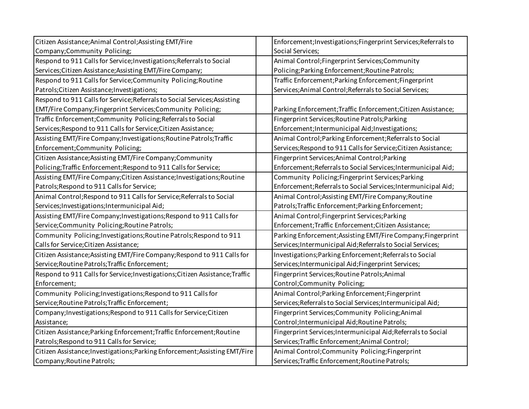| Citizen Assistance; Animal Control; Assisting EMT/Fire                        | Enforcement; Investigations; Fingerprint Services; Referrals to |
|-------------------------------------------------------------------------------|-----------------------------------------------------------------|
| Company;Community Policing;                                                   | Social Services;                                                |
| Respond to 911 Calls for Service; Investigations; Referrals to Social         | Animal Control; Fingerprint Services; Community                 |
| Services; Citizen Assistance; Assisting EMT/Fire Company;                     | Policing; Parking Enforcement; Routine Patrols;                 |
| Respond to 911 Calls for Service; Community Policing; Routine                 | Traffic Enforcement; Parking Enforcement; Fingerprint           |
| Patrols; Citizen Assistance; Investigations;                                  | Services; Animal Control; Referrals to Social Services;         |
| Respond to 911 Calls for Service; Referrals to Social Services; Assisting     |                                                                 |
| EMT/Fire Company; Fingerprint Services; Community Policing;                   | Parking Enforcement; Traffic Enforcement; Citizen Assistance;   |
| Traffic Enforcement; Community Policing; Referrals to Social                  | Fingerprint Services; Routine Patrols; Parking                  |
| Services; Respond to 911 Calls for Service; Citizen Assistance;               | Enforcement; Intermunicipal Aid; Investigations;                |
| Assisting EMT/Fire Company; Investigations; Routine Patrols; Traffic          | Animal Control; Parking Enforcement; Referrals to Social        |
| Enforcement; Community Policing;                                              | Services; Respond to 911 Calls for Service; Citizen Assistance; |
| Citizen Assistance; Assisting EMT/Fire Company; Community                     | Fingerprint Services; Animal Control; Parking                   |
| Policing; Traffic Enforcement; Respond to 911 Calls for Service;              | Enforcement; Referrals to Social Services; Intermunicipal Aid;  |
| Assisting EMT/Fire Company; Citizen Assistance; Investigations; Routine       | Community Policing; Fingerprint Services; Parking               |
| Patrols; Respond to 911 Calls for Service;                                    | Enforcement; Referrals to Social Services; Intermunicipal Aid;  |
| Animal Control; Respond to 911 Calls for Service; Referrals to Social         | Animal Control; Assisting EMT/Fire Company; Routine             |
| Services; Investigations; Intermunicipal Aid;                                 | Patrols; Traffic Enforcement; Parking Enforcement;              |
| Assisting EMT/Fire Company; Investigations; Respond to 911 Calls for          | Animal Control; Fingerprint Services; Parking                   |
| Service; Community Policing; Routine Patrols;                                 | Enforcement; Traffic Enforcement; Citizen Assistance;           |
| Community Policing; Investigations; Routine Patrols; Respond to 911           | Parking Enforcement; Assisting EMT/Fire Company; Fingerprint    |
| Calls for Service; Citizen Assistance;                                        | Services; Intermunicipal Aid; Referrals to Social Services;     |
| Citizen Assistance; Assisting EMT/Fire Company; Respond to 911 Calls for      | Investigations; Parking Enforcement; Referrals to Social        |
| Service; Routine Patrols; Traffic Enforcement;                                | Services; Intermunicipal Aid; Fingerprint Services;             |
| Respond to 911 Calls for Service; Investigations; Citizen Assistance; Traffic | Fingerprint Services; Routine Patrols; Animal                   |
| Enforcement;                                                                  | Control;Community Policing;                                     |
| Community Policing; Investigations; Respond to 911 Calls for                  | Animal Control; Parking Enforcement; Fingerprint                |
| Service; Routine Patrols; Traffic Enforcement;                                | Services; Referrals to Social Services; Intermunicipal Aid;     |
| Company; Investigations; Respond to 911 Calls for Service; Citizen            | Fingerprint Services; Community Policing; Animal                |
| Assistance;                                                                   | Control; Intermunicipal Aid; Routine Patrols;                   |
| Citizen Assistance; Parking Enforcement; Traffic Enforcement; Routine         | Fingerprint Services; Intermunicipal Aid; Referrals to Social   |
| Patrols; Respond to 911 Calls for Service;                                    | Services; Traffic Enforcement; Animal Control;                  |
| Citizen Assistance; Investigations; Parking Enforcement; Assisting EMT/Fire   | Animal Control; Community Policing; Fingerprint                 |
| Company; Routine Patrols;                                                     | Services; Traffic Enforcement; Routine Patrols;                 |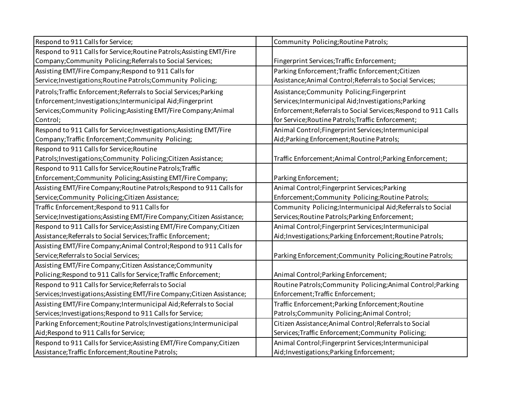| Respond to 911 Calls for Service;                                         | Community Policing; Routine Patrols;                            |
|---------------------------------------------------------------------------|-----------------------------------------------------------------|
| Respond to 911 Calls for Service; Routine Patrols; Assisting EMT/Fire     |                                                                 |
| Company; Community Policing; Referrals to Social Services;                | Fingerprint Services; Traffic Enforcement;                      |
| Assisting EMT/Fire Company; Respond to 911 Calls for                      | Parking Enforcement; Traffic Enforcement; Citizen               |
| Service; Investigations; Routine Patrols; Community Policing;             | Assistance; Animal Control; Referrals to Social Services;       |
| Patrols; Traffic Enforcement; Referrals to Social Services; Parking       | Assistance; Community Policing; Fingerprint                     |
| Enforcement; Investigations; Intermunicipal Aid; Fingerprint              | Services; Intermunicipal Aid; Investigations; Parking           |
| Services; Community Policing; Assisting EMT/Fire Company; Animal          | Enforcement; Referrals to Social Services; Respond to 911 Calls |
| Control;                                                                  | for Service; Routine Patrols; Traffic Enforcement;              |
| Respond to 911 Calls for Service; Investigations; Assisting EMT/Fire      | Animal Control; Fingerprint Services; Intermunicipal            |
| Company; Traffic Enforcement; Community Policing;                         | Aid; Parking Enforcement; Routine Patrols;                      |
| Respond to 911 Calls for Service; Routine                                 |                                                                 |
| Patrols; Investigations; Community Policing; Citizen Assistance;          | Traffic Enforcement; Animal Control; Parking Enforcement;       |
| Respond to 911 Calls for Service; Routine Patrols; Traffic                |                                                                 |
| Enforcement; Community Policing; Assisting EMT/Fire Company;              | Parking Enforcement;                                            |
| Assisting EMT/Fire Company; Routine Patrols; Respond to 911 Calls for     | Animal Control; Fingerprint Services; Parking                   |
| Service;Community Policing;Citizen Assistance;                            | Enforcement; Community Policing; Routine Patrols;               |
| Traffic Enforcement; Respond to 911 Calls for                             | Community Policing; Intermunicipal Aid; Referrals to Social     |
| Service; Investigations; Assisting EMT/Fire Company; Citizen Assistance;  | Services; Routine Patrols; Parking Enforcement;                 |
| Respond to 911 Calls for Service; Assisting EMT/Fire Company; Citizen     | Animal Control; Fingerprint Services; Intermunicipal            |
| Assistance; Referrals to Social Services; Traffic Enforcement;            | Aid; Investigations; Parking Enforcement; Routine Patrols;      |
| Assisting EMT/Fire Company; Animal Control; Respond to 911 Calls for      |                                                                 |
| Service; Referrals to Social Services;                                    | Parking Enforcement; Community Policing; Routine Patrols;       |
| Assisting EMT/Fire Company; Citizen Assistance; Community                 |                                                                 |
| Policing; Respond to 911 Calls for Service; Traffic Enforcement;          | Animal Control; Parking Enforcement;                            |
| Respond to 911 Calls for Service; Referrals to Social                     | Routine Patrols; Community Policing; Animal Control; Parking    |
| Services; Investigations; Assisting EMT/Fire Company; Citizen Assistance; | Enforcement; Traffic Enforcement;                               |
| Assisting EMT/Fire Company; Intermunicipal Aid; Referrals to Social       | Traffic Enforcement; Parking Enforcement; Routine               |
| Services; Investigations; Respond to 911 Calls for Service;               | Patrols; Community Policing; Animal Control;                    |
| Parking Enforcement; Routine Patrols; Investigations; Intermunicipal      | Citizen Assistance; Animal Control; Referrals to Social         |
| Aid; Respond to 911 Calls for Service;                                    | Services; Traffic Enforcement; Community Policing;              |
| Respond to 911 Calls for Service; Assisting EMT/Fire Company; Citizen     | Animal Control; Fingerprint Services; Intermunicipal            |
| Assistance; Traffic Enforcement; Routine Patrols;                         | Aid; Investigations; Parking Enforcement;                       |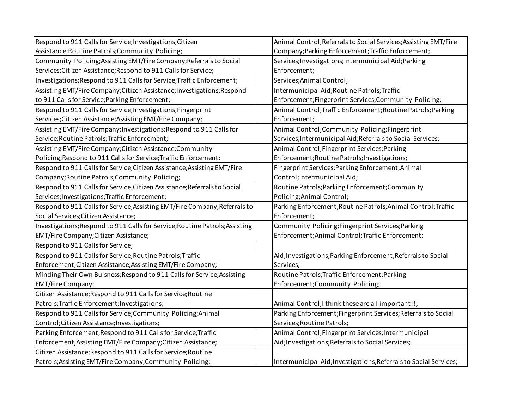| Respond to 911 Calls for Service; Investigations; Citizen                    | Animal Control; Referrals to Social Services; Assisting EMT/Fire  |
|------------------------------------------------------------------------------|-------------------------------------------------------------------|
| Assistance; Routine Patrols; Community Policing;                             | Company; Parking Enforcement; Traffic Enforcement;                |
| Community Policing; Assisting EMT/Fire Company; Referrals to Social          | Services; Investigations; Intermunicipal Aid; Parking             |
| Services; Citizen Assistance; Respond to 911 Calls for Service;              | Enforcement;                                                      |
| Investigations; Respond to 911 Calls for Service; Traffic Enforcement;       | Services; Animal Control;                                         |
| Assisting EMT/Fire Company; Citizen Assistance; Investigations; Respond      | Intermunicipal Aid; Routine Patrols; Traffic                      |
| to 911 Calls for Service; Parking Enforcement;                               | Enforcement;Fingerprint Services;Community Policing;              |
| Respond to 911 Calls for Service; Investigations; Fingerprint                | Animal Control; Traffic Enforcement; Routine Patrols; Parking     |
| Services; Citizen Assistance; Assisting EMT/Fire Company;                    | Enforcement;                                                      |
| Assisting EMT/Fire Company; Investigations; Respond to 911 Calls for         | Animal Control; Community Policing; Fingerprint                   |
| Service; Routine Patrols; Traffic Enforcement;                               | Services; Intermunicipal Aid; Referrals to Social Services;       |
| Assisting EMT/Fire Company; Citizen Assistance; Community                    | Animal Control; Fingerprint Services; Parking                     |
| Policing; Respond to 911 Calls for Service; Traffic Enforcement;             | Enforcement; Routine Patrols; Investigations;                     |
| Respond to 911 Calls for Service; Citizen Assistance; Assisting EMT/Fire     | Fingerprint Services; Parking Enforcement; Animal                 |
| Company; Routine Patrols; Community Policing;                                | Control; Intermunicipal Aid;                                      |
| Respond to 911 Calls for Service; Citizen Assistance; Referrals to Social    | Routine Patrols; Parking Enforcement; Community                   |
| Services; Investigations; Traffic Enforcement;                               | Policing; Animal Control;                                         |
| Respond to 911 Calls for Service; Assisting EMT/Fire Company; Referrals to   | Parking Enforcement; Routine Patrols; Animal Control; Traffic     |
| Social Services; Citizen Assistance;                                         | Enforcement;                                                      |
| Investigations; Respond to 911 Calls for Service; Routine Patrols; Assisting | Community Policing; Fingerprint Services; Parking                 |
| EMT/Fire Company; Citizen Assistance;                                        | Enforcement; Animal Control; Traffic Enforcement;                 |
| Respond to 911 Calls for Service;                                            |                                                                   |
| Respond to 911 Calls for Service; Routine Patrols; Traffic                   | Aid; Investigations; Parking Enforcement; Referrals to Social     |
| Enforcement; Citizen Assistance; Assisting EMT/Fire Company;                 | Services;                                                         |
| Minding Their Own Buisness; Respond to 911 Calls for Service; Assisting      | Routine Patrols; Traffic Enforcement; Parking                     |
| <b>EMT/Fire Company;</b>                                                     | Enforcement;Community Policing;                                   |
| Citizen Assistance; Respond to 911 Calls for Service; Routine                |                                                                   |
| Patrols; Traffic Enforcement; Investigations;                                | Animal Control; I think these are all important!!;                |
| Respond to 911 Calls for Service; Community Policing; Animal                 | Parking Enforcement; Fingerprint Services; Referrals to Social    |
| Control; Citizen Assistance; Investigations;                                 | Services; Routine Patrols;                                        |
| Parking Enforcement; Respond to 911 Calls for Service; Traffic               | Animal Control; Fingerprint Services; Intermunicipal              |
| Enforcement; Assisting EMT/Fire Company; Citizen Assistance;                 | Aid; Investigations; Referrals to Social Services;                |
| Citizen Assistance; Respond to 911 Calls for Service; Routine                |                                                                   |
| Patrols; Assisting EMT/Fire Company; Community Policing;                     | Intermunicipal Aid; Investigations; Referrals to Social Services; |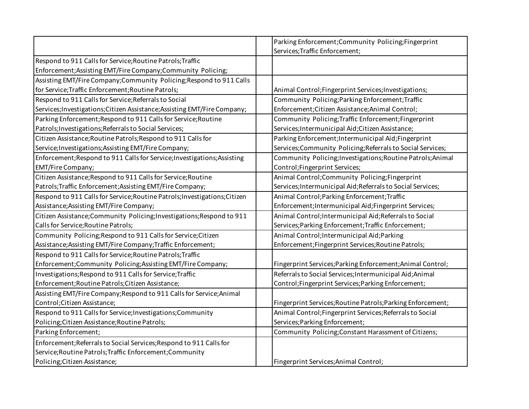|                                                                            | Parking Enforcement; Community Policing; Fingerprint        |
|----------------------------------------------------------------------------|-------------------------------------------------------------|
|                                                                            | Services; Traffic Enforcement;                              |
| Respond to 911 Calls for Service; Routine Patrols; Traffic                 |                                                             |
| Enforcement; Assisting EMT/Fire Company; Community Policing;               |                                                             |
| Assisting EMT/Fire Company; Community Policing; Respond to 911 Calls       |                                                             |
| for Service; Traffic Enforcement; Routine Patrols;                         | Animal Control; Fingerprint Services; Investigations;       |
| Respond to 911 Calls for Service; Referrals to Social                      | Community Policing; Parking Enforcement; Traffic            |
| Services; Investigations; Citizen Assistance; Assisting EMT/Fire Company;  | Enforcement; Citizen Assistance; Animal Control;            |
| Parking Enforcement; Respond to 911 Calls for Service; Routine             | Community Policing; Traffic Enforcement; Fingerprint        |
| Patrols; Investigations; Referrals to Social Services;                     | Services; Intermunicipal Aid; Citizen Assistance;           |
| Citizen Assistance; Routine Patrols; Respond to 911 Calls for              | Parking Enforcement; Intermunicipal Aid; Fingerprint        |
| Service; Investigations; Assisting EMT/Fire Company;                       | Services; Community Policing; Referrals to Social Services; |
| Enforcement; Respond to 911 Calls for Service; Investigations; Assisting   | Community Policing; Investigations; Routine Patrols; Animal |
| <b>EMT/Fire Company;</b>                                                   | Control; Fingerprint Services;                              |
| Citizen Assistance; Respond to 911 Calls for Service; Routine              | Animal Control; Community Policing; Fingerprint             |
| Patrols; Traffic Enforcement; Assisting EMT/Fire Company;                  | Services; Intermunicipal Aid; Referrals to Social Services; |
| Respond to 911 Calls for Service; Routine Patrols; Investigations; Citizen | Animal Control; Parking Enforcement; Traffic                |
| Assistance; Assisting EMT/Fire Company;                                    | Enforcement; Intermunicipal Aid; Fingerprint Services;      |
| Citizen Assistance; Community Policing; Investigations; Respond to 911     | Animal Control; Intermunicipal Aid; Referrals to Social     |
| Calls for Service; Routine Patrols;                                        | Services; Parking Enforcement; Traffic Enforcement;         |
| Community Policing; Respond to 911 Calls for Service; Citizen              | Animal Control; Intermunicipal Aid; Parking                 |
| Assistance; Assisting EMT/Fire Company; Traffic Enforcement;               | Enforcement; Fingerprint Services; Routine Patrols;         |
| Respond to 911 Calls for Service; Routine Patrols; Traffic                 |                                                             |
| Enforcement; Community Policing; Assisting EMT/Fire Company;               | Fingerprint Services; Parking Enforcement; Animal Control;  |
| Investigations; Respond to 911 Calls for Service; Traffic                  | Referrals to Social Services; Intermunicipal Aid; Animal    |
| Enforcement; Routine Patrols; Citizen Assistance;                          | Control; Fingerprint Services; Parking Enforcement;         |
| Assisting EMT/Fire Company; Respond to 911 Calls for Service; Animal       |                                                             |
| Control; Citizen Assistance;                                               | Fingerprint Services; Routine Patrols; Parking Enforcement; |
| Respond to 911 Calls for Service; Investigations; Community                | Animal Control; Fingerprint Services; Referrals to Social   |
| Policing; Citizen Assistance; Routine Patrols;                             | Services; Parking Enforcement;                              |
| Parking Enforcement;                                                       | Community Policing; Constant Harassment of Citizens;        |
| Enforcement; Referrals to Social Services; Respond to 911 Calls for        |                                                             |
| Service; Routine Patrols; Traffic Enforcement; Community                   |                                                             |
| Policing; Citizen Assistance;                                              | Fingerprint Services; Animal Control;                       |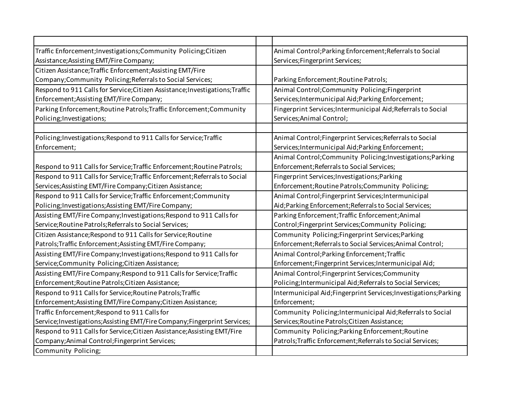| Traffic Enforcement; Investigations; Community Policing; Citizen              | Animal Control; Parking Enforcement; Referrals to Social          |
|-------------------------------------------------------------------------------|-------------------------------------------------------------------|
| Assistance; Assisting EMT/Fire Company;                                       | Services; Fingerprint Services;                                   |
| Citizen Assistance; Traffic Enforcement; Assisting EMT/Fire                   |                                                                   |
| Company; Community Policing; Referrals to Social Services;                    | Parking Enforcement; Routine Patrols;                             |
| Respond to 911 Calls for Service; Citizen Assistance; Investigations; Traffic | Animal Control; Community Policing; Fingerprint                   |
| Enforcement; Assisting EMT/Fire Company;                                      | Services; Intermunicipal Aid; Parking Enforcement;                |
| Parking Enforcement; Routine Patrols; Traffic Enforcement; Community          | Fingerprint Services; Intermunicipal Aid; Referrals to Social     |
| Policing; Investigations;                                                     | Services; Animal Control;                                         |
|                                                                               |                                                                   |
| Policing; Investigations; Respond to 911 Calls for Service; Traffic           | Animal Control; Fingerprint Services; Referrals to Social         |
| Enforcement;                                                                  | Services; Intermunicipal Aid; Parking Enforcement;                |
|                                                                               | Animal Control; Community Policing; Investigations; Parking       |
| Respond to 911 Calls for Service; Traffic Enforcement; Routine Patrols;       | Enforcement; Referrals to Social Services;                        |
| Respond to 911 Calls for Service; Traffic Enforcement; Referrals to Social    | Fingerprint Services; Investigations; Parking                     |
| Services; Assisting EMT/Fire Company; Citizen Assistance;                     | Enforcement; Routine Patrols; Community Policing;                 |
| Respond to 911 Calls for Service; Traffic Enforcement; Community              | Animal Control; Fingerprint Services; Intermunicipal              |
| Policing; Investigations; Assisting EMT/Fire Company;                         | Aid; Parking Enforcement; Referrals to Social Services;           |
| Assisting EMT/Fire Company; Investigations; Respond to 911 Calls for          | Parking Enforcement; Traffic Enforcement; Animal                  |
| Service; Routine Patrols; Referrals to Social Services;                       | Control; Fingerprint Services; Community Policing;                |
| Citizen Assistance; Respond to 911 Calls for Service; Routine                 | Community Policing; Fingerprint Services; Parking                 |
| Patrols; Traffic Enforcement; Assisting EMT/Fire Company;                     | Enforcement; Referrals to Social Services; Animal Control;        |
| Assisting EMT/Fire Company; Investigations; Respond to 911 Calls for          | Animal Control; Parking Enforcement; Traffic                      |
| Service;Community Policing;Citizen Assistance;                                | Enforcement;Fingerprint Services;Intermunicipal Aid;              |
| Assisting EMT/Fire Company; Respond to 911 Calls for Service; Traffic         | Animal Control; Fingerprint Services; Community                   |
| Enforcement; Routine Patrols; Citizen Assistance;                             | Policing; Intermunicipal Aid; Referrals to Social Services;       |
| Respond to 911 Calls for Service; Routine Patrols; Traffic                    | Intermunicipal Aid; Fingerprint Services; Investigations; Parking |
| Enforcement; Assisting EMT/Fire Company; Citizen Assistance;                  | Enforcement;                                                      |
| Traffic Enforcement; Respond to 911 Calls for                                 | Community Policing; Intermunicipal Aid; Referrals to Social       |
| Service; Investigations; Assisting EMT/Fire Company; Fingerprint Services;    | Services; Routine Patrols; Citizen Assistance;                    |
| Respond to 911 Calls for Service; Citizen Assistance; Assisting EMT/Fire      | Community Policing; Parking Enforcement; Routine                  |
| Company; Animal Control; Fingerprint Services;                                | Patrols; Traffic Enforcement; Referrals to Social Services;       |
| Community Policing;                                                           |                                                                   |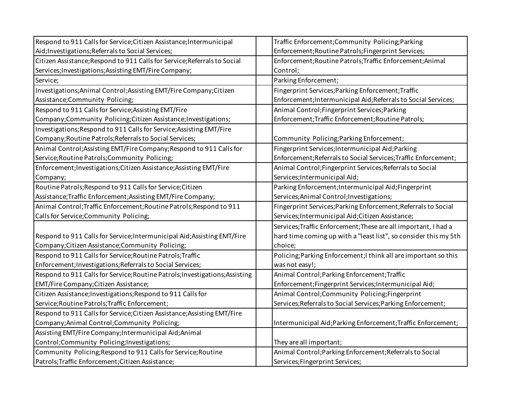| Respond to 911 Calls for Service; Citizen Assistance; Intermunicipal         | Traffic Enforcement; Community Policing; Parking                 |
|------------------------------------------------------------------------------|------------------------------------------------------------------|
| Aid; Investigations; Referrals to Social Services;                           | Enforcement; Routine Patrols; Fingerprint Services;              |
| Citizen Assistance; Respond to 911 Calls for Service; Referrals to Social    | Enforcement; Routine Patrols; Traffic Enforcement; Animal        |
| Services; Investigations; Assisting EMT/Fire Company;                        | Control;                                                         |
| Service;                                                                     | Parking Enforcement;                                             |
| Investigations; Animal Control; Assisting EMT/Fire Company; Citizen          | Fingerprint Services; Parking Enforcement; Traffic               |
| Assistance; Community Policing;                                              | Enforcement; Intermunicipal Aid; Referrals to Social Services;   |
| Respond to 911 Calls for Service; Assisting EMT/Fire                         | Animal Control; Fingerprint Services; Parking                    |
| Company;Community Policing;Citizen Assistance;Investigations;                | Enforcement; Traffic Enforcement; Routine Patrols;               |
| Investigations; Respond to 911 Calls for Service; Assisting EMT/Fire         |                                                                  |
| Company; Routine Patrols; Referrals to Social Services;                      | Community Policing; Parking Enforcement;                         |
| Animal Control; Assisting EMT/Fire Company; Respond to 911 Calls for         | Fingerprint Services; Intermunicipal Aid; Parking                |
| Service; Routine Patrols; Community Policing;                                | Enforcement; Referrals to Social Services; Traffic Enforcement;  |
| Enforcement; Investigations; Citizen Assistance; Assisting EMT/Fire          | Animal Control; Fingerprint Services; Referrals to Social        |
| Company;                                                                     | Services; Intermunicipal Aid;                                    |
| Routine Patrols; Respond to 911 Calls for Service; Citizen                   | Parking Enforcement; Intermunicipal Aid; Fingerprint             |
| Assistance; Traffic Enforcement; Assisting EMT/Fire Company;                 | Services; Animal Control; Investigations;                        |
| Animal Control; Traffic Enforcement; Routine Patrols; Respond to 911         | Fingerprint Services; Parking Enforcement; Referrals to Social   |
|                                                                              |                                                                  |
| Calls for Service; Community Policing;                                       | Services; Intermunicipal Aid; Citizen Assistance;                |
|                                                                              | Services; Traffic Enforcement; These are all important, I had a  |
| Respond to 911 Calls for Service; Intermunicipal Aid; Assisting EMT/Fire     | hard time coming up with a "least list", so consider this my 5th |
| Company; Citizen Assistance; Community Policing;                             | choice;                                                          |
| Respond to 911 Calls for Service; Routine Patrols; Traffic                   | Policing; Parking Enforcement; I think all are important so this |
| Enforcement; Investigations; Referrals to Social Services;                   | was not easy!;                                                   |
| Respond to 911 Calls for Service; Routine Patrols; Investigations; Assisting | Animal Control; Parking Enforcement; Traffic                     |
| EMT/Fire Company; Citizen Assistance;                                        | Enforcement;Fingerprint Services;Intermunicipal Aid;             |
| Citizen Assistance; Investigations; Respond to 911 Calls for                 | Animal Control; Community Policing; Fingerprint                  |
| Service; Routine Patrols; Traffic Enforcement;                               | Services; Referrals to Social Services; Parking Enforcement;     |
| Respond to 911 Calls for Service; Citizen Assistance; Assisting EMT/Fire     |                                                                  |
| Company; Animal Control; Community Policing;                                 | Intermunicipal Aid; Parking Enforcement; Traffic Enforcement;    |
| Assisting EMT/Fire Company; Intermunicipal Aid; Animal                       |                                                                  |
| Control;Community Policing;Investigations;                                   | They are all important;                                          |
| Community Policing; Respond to 911 Calls for Service; Routine                | Animal Control; Parking Enforcement; Referrals to Social         |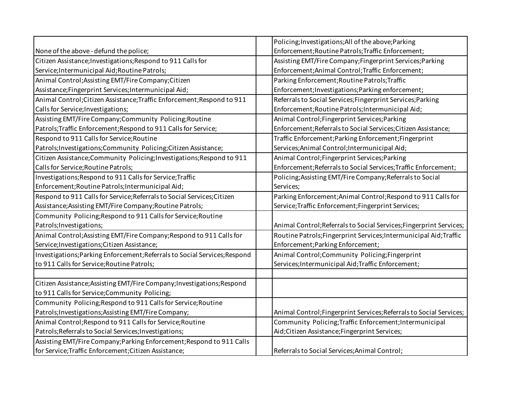|                                                                            | Policing; Investigations; All of the above; Parking                 |
|----------------------------------------------------------------------------|---------------------------------------------------------------------|
| None of the above - defund the police;                                     | Enforcement; Routine Patrols; Traffic Enforcement;                  |
| Citizen Assistance; Investigations; Respond to 911 Calls for               | Assisting EMT/Fire Company; Fingerprint Services; Parking           |
| Service; Intermunicipal Aid; Routine Patrols;                              | Enforcement; Animal Control; Traffic Enforcement;                   |
| Animal Control; Assisting EMT/Fire Company; Citizen                        | Parking Enforcement; Routine Patrols; Traffic                       |
| Assistance; Fingerprint Services; Intermunicipal Aid;                      | Enforcement; Investigations; Parking enforcement;                   |
| Animal Control; Citizen Assistance; Traffic Enforcement; Respond to 911    | Referrals to Social Services; Fingerprint Services; Parking         |
| Calls for Service; Investigations;                                         | Enforcement; Routine Patrols; Intermunicipal Aid;                   |
| Assisting EMT/Fire Company; Community Policing; Routine                    | Animal Control; Fingerprint Services; Parking                       |
| Patrols; Traffic Enforcement; Respond to 911 Calls for Service;            | Enforcement; Referrals to Social Services; Citizen Assistance;      |
| Respond to 911 Calls for Service; Routine                                  | Traffic Enforcement; Parking Enforcement; Fingerprint               |
| Patrols; Investigations; Community Policing; Citizen Assistance;           | Services; Animal Control; Intermunicipal Aid;                       |
| Citizen Assistance; Community Policing; Investigations; Respond to 911     | Animal Control; Fingerprint Services; Parking                       |
| Calls for Service; Routine Patrols;                                        | Enforcement; Referrals to Social Services; Traffic Enforcement;     |
| Investigations; Respond to 911 Calls for Service; Traffic                  | Policing; Assisting EMT/Fire Company; Referrals to Social           |
| Enforcement; Routine Patrols; Intermunicipal Aid;                          | Services;                                                           |
| Respond to 911 Calls for Service; Referrals to Social Services; Citizen    | Parking Enforcement; Animal Control; Respond to 911 Calls for       |
| Assistance; Assisting EMT/Fire Company; Routine Patrols;                   | Service; Traffic Enforcement; Fingerprint Services;                 |
| Community Policing; Respond to 911 Calls for Service; Routine              |                                                                     |
| Patrols; Investigations;                                                   | Animal Control; Referrals to Social Services; Fingerprint Services; |
| Animal Control; Assisting EMT/Fire Company; Respond to 911 Calls for       | Routine Patrols; Fingerprint Services; Intermunicipal Aid; Traffic  |
| Service; Investigations; Citizen Assistance;                               | Enforcement; Parking Enforcement;                                   |
| Investigations; Parking Enforcement; Referrals to Social Services; Respond | Animal Control; Community Policing; Fingerprint                     |
| to 911 Calls for Service; Routine Patrols;                                 | Services; Intermunicipal Aid; Traffic Enforcement;                  |
|                                                                            |                                                                     |
| Citizen Assistance; Assisting EMT/Fire Company; Investigations; Respond    |                                                                     |
| to 911 Calls for Service; Community Policing;                              |                                                                     |
| Community Policing; Respond to 911 Calls for Service; Routine              |                                                                     |
| Patrols; Investigations; Assisting EMT/Fire Company;                       | Animal Control; Fingerprint Services; Referrals to Social Services; |
| Animal Control; Respond to 911 Calls for Service; Routine                  | Community Policing; Traffic Enforcement; Intermunicipal             |
| Patrols; Referrals to Social Services; Investigations;                     | Aid; Citizen Assistance; Fingerprint Services;                      |
| Assisting EMT/Fire Company; Parking Enforcement; Respond to 911 Calls      |                                                                     |
| for Service; Traffic Enforcement; Citizen Assistance;                      | Referrals to Social Services; Animal Control;                       |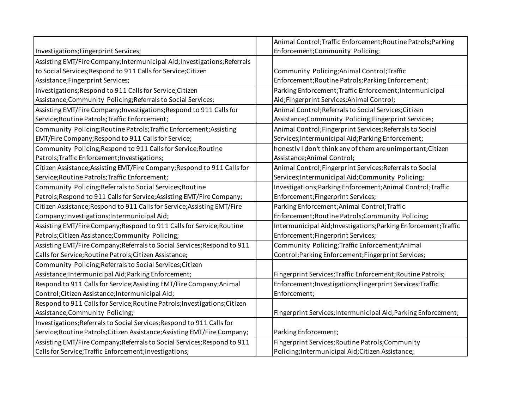|                                                                            | Animal Control; Traffic Enforcement; Routine Patrols; Parking    |
|----------------------------------------------------------------------------|------------------------------------------------------------------|
| Investigations; Fingerprint Services;                                      | Enforcement; Community Policing;                                 |
| Assisting EMT/Fire Company; Intermunicipal Aid; Investigations; Referrals  |                                                                  |
| to Social Services; Respond to 911 Calls for Service; Citizen              | Community Policing; Animal Control; Traffic                      |
| Assistance; Fingerprint Services;                                          | Enforcement; Routine Patrols; Parking Enforcement;               |
| Investigations; Respond to 911 Calls for Service; Citizen                  | Parking Enforcement; Traffic Enforcement; Intermunicipal         |
| Assistance; Community Policing; Referrals to Social Services;              | Aid;Fingerprint Services;Animal Control;                         |
| Assisting EMT/Fire Company; Investigations; Respond to 911 Calls for       | Animal Control; Referrals to Social Services; Citizen            |
| Service; Routine Patrols; Traffic Enforcement;                             | Assistance;Community Policing;Fingerprint Services;              |
| Community Policing; Routine Patrols; Traffic Enforcement; Assisting        | Animal Control; Fingerprint Services; Referrals to Social        |
| EMT/Fire Company; Respond to 911 Calls for Service;                        | Services; Intermunicipal Aid; Parking Enforcement;               |
| Community Policing; Respond to 911 Calls for Service; Routine              | honestly I don't think any of them are unimportant; Citizen      |
| Patrols; Traffic Enforcement; Investigations;                              | Assistance; Animal Control;                                      |
| Citizen Assistance; Assisting EMT/Fire Company; Respond to 911 Calls for   | Animal Control; Fingerprint Services; Referrals to Social        |
| Service; Routine Patrols; Traffic Enforcement;                             | Services; Intermunicipal Aid; Community Policing;                |
| Community Policing; Referrals to Social Services; Routine                  | Investigations; Parking Enforcement; Animal Control; Traffic     |
| Patrols; Respond to 911 Calls for Service; Assisting EMT/Fire Company;     | Enforcement; Fingerprint Services;                               |
| Citizen Assistance; Respond to 911 Calls for Service; Assisting EMT/Fire   | Parking Enforcement; Animal Control; Traffic                     |
| Company; Investigations; Intermunicipal Aid;                               | Enforcement; Routine Patrols; Community Policing;                |
| Assisting EMT/Fire Company; Respond to 911 Calls for Service; Routine      | Intermunicipal Aid; Investigations; Parking Enforcement; Traffic |
| Patrols; Citizen Assistance; Community Policing;                           | Enforcement; Fingerprint Services;                               |
| Assisting EMT/Fire Company; Referrals to Social Services; Respond to 911   | Community Policing; Traffic Enforcement; Animal                  |
| Calls for Service; Routine Patrols; Citizen Assistance;                    | Control; Parking Enforcement; Fingerprint Services;              |
| Community Policing; Referrals to Social Services; Citizen                  |                                                                  |
| Assistance; Intermunicipal Aid; Parking Enforcement;                       | Fingerprint Services; Traffic Enforcement; Routine Patrols;      |
| Respond to 911 Calls for Service; Assisting EMT/Fire Company; Animal       | Enforcement; Investigations; Fingerprint Services; Traffic       |
| Control; Citizen Assistance; Intermunicipal Aid;                           | Enforcement;                                                     |
| Respond to 911 Calls for Service; Routine Patrols; Investigations; Citizen |                                                                  |
| Assistance; Community Policing;                                            | Fingerprint Services; Intermunicipal Aid; Parking Enforcement;   |
| Investigations; Referrals to Social Services; Respond to 911 Calls for     |                                                                  |
| Service; Routine Patrols; Citizen Assistance; Assisting EMT/Fire Company;  | Parking Enforcement;                                             |
| Assisting EMT/Fire Company; Referrals to Social Services; Respond to 911   | Fingerprint Services; Routine Patrols; Community                 |
| Calls for Service; Traffic Enforcement; Investigations;                    | Policing; Intermunicipal Aid; Citizen Assistance;                |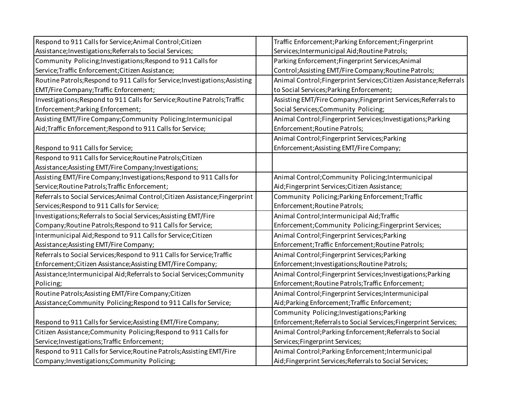| Respond to 911 Calls for Service; Animal Control; Citizen                     | Traffic Enforcement; Parking Enforcement; Fingerprint               |
|-------------------------------------------------------------------------------|---------------------------------------------------------------------|
| Assistance; Investigations; Referrals to Social Services;                     | Services; Intermunicipal Aid; Routine Patrols;                      |
| Community Policing; Investigations; Respond to 911 Calls for                  | Parking Enforcement; Fingerprint Services; Animal                   |
| Service; Traffic Enforcement; Citizen Assistance;                             | Control; Assisting EMT/Fire Company; Routine Patrols;               |
| Routine Patrols; Respond to 911 Calls for Service; Investigations; Assisting  | Animal Control; Fingerprint Services; Citizen Assistance; Referrals |
| EMT/Fire Company; Traffic Enforcement;                                        | to Social Services; Parking Enforcement;                            |
| Investigations; Respond to 911 Calls for Service; Routine Patrols; Traffic    | Assisting EMT/Fire Company; Fingerprint Services; Referrals to      |
| Enforcement; Parking Enforcement;                                             | Social Services; Community Policing;                                |
| Assisting EMT/Fire Company; Community Policing; Intermunicipal                | Animal Control; Fingerprint Services; Investigations; Parking       |
| Aid; Traffic Enforcement; Respond to 911 Calls for Service;                   | Enforcement; Routine Patrols;                                       |
|                                                                               | Animal Control; Fingerprint Services; Parking                       |
| Respond to 911 Calls for Service;                                             | Enforcement; Assisting EMT/Fire Company;                            |
| Respond to 911 Calls for Service; Routine Patrols; Citizen                    |                                                                     |
| Assistance; Assisting EMT/Fire Company; Investigations;                       |                                                                     |
| Assisting EMT/Fire Company; Investigations; Respond to 911 Calls for          | Animal Control; Community Policing; Intermunicipal                  |
| Service; Routine Patrols; Traffic Enforcement;                                | Aid;Fingerprint Services;Citizen Assistance;                        |
| Referrals to Social Services; Animal Control; Citizen Assistance; Fingerprint | Community Policing; Parking Enforcement; Traffic                    |
| Services; Respond to 911 Calls for Service;                                   | Enforcement; Routine Patrols;                                       |
| Investigations; Referrals to Social Services; Assisting EMT/Fire              | Animal Control; Intermunicipal Aid; Traffic                         |
| Company; Routine Patrols; Respond to 911 Calls for Service;                   | Enforcement; Community Policing; Fingerprint Services;              |
| Intermunicipal Aid; Respond to 911 Calls for Service; Citizen                 | Animal Control; Fingerprint Services; Parking                       |
| Assistance; Assisting EMT/Fire Company;                                       | Enforcement; Traffic Enforcement; Routine Patrols;                  |
| Referrals to Social Services; Respond to 911 Calls for Service; Traffic       | Animal Control; Fingerprint Services; Parking                       |
| Enforcement; Citizen Assistance; Assisting EMT/Fire Company;                  | Enforcement; Investigations; Routine Patrols;                       |
| Assistance; Intermunicipal Aid; Referrals to Social Services; Community       | Animal Control; Fingerprint Services; Investigations; Parking       |
| Policing;                                                                     | Enforcement; Routine Patrols; Traffic Enforcement;                  |
| Routine Patrols; Assisting EMT/Fire Company; Citizen                          | Animal Control; Fingerprint Services; Intermunicipal                |
| Assistance; Community Policing; Respond to 911 Calls for Service;             | Aid; Parking Enforcement; Traffic Enforcement;                      |
|                                                                               | Community Policing; Investigations; Parking                         |
| Respond to 911 Calls for Service; Assisting EMT/Fire Company;                 | Enforcement; Referrals to Social Services; Fingerprint Services;    |
| Citizen Assistance; Community Policing; Respond to 911 Calls for              | Animal Control; Parking Enforcement; Referrals to Social            |
| Service; Investigations; Traffic Enforcement;                                 | Services; Fingerprint Services;                                     |
| Respond to 911 Calls for Service; Routine Patrols; Assisting EMT/Fire         | Animal Control; Parking Enforcement; Intermunicipal                 |
| Company; Investigations; Community Policing;                                  | Aid; Fingerprint Services; Referrals to Social Services;            |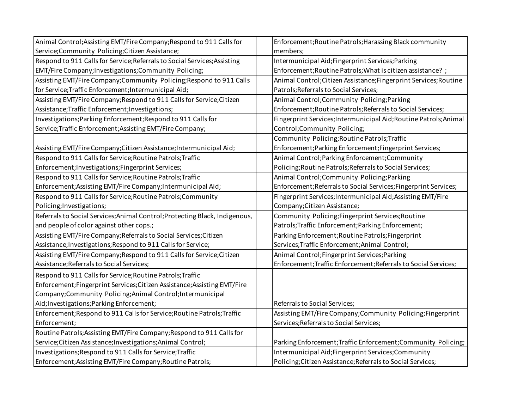| Animal Control; Assisting EMT/Fire Company; Respond to 911 Calls for        | Enforcement; Routine Patrols; Harassing Black community           |
|-----------------------------------------------------------------------------|-------------------------------------------------------------------|
| Service;Community Policing;Citizen Assistance;                              | members;                                                          |
| Respond to 911 Calls for Service; Referrals to Social Services; Assisting   | Intermunicipal Aid; Fingerprint Services; Parking                 |
| EMT/Fire Company; Investigations; Community Policing;                       | Enforcement; Routine Patrols; What is citizen assistance?;        |
| Assisting EMT/Fire Company; Community Policing; Respond to 911 Calls        | Animal Control; Citizen Assistance; Fingerprint Services; Routine |
| for Service; Traffic Enforcement; Intermunicipal Aid;                       | Patrols; Referrals to Social Services;                            |
| Assisting EMT/Fire Company; Respond to 911 Calls for Service; Citizen       | Animal Control; Community Policing; Parking                       |
| Assistance; Traffic Enforcement; Investigations;                            | Enforcement; Routine Patrols; Referrals to Social Services;       |
| Investigations; Parking Enforcement; Respond to 911 Calls for               | Fingerprint Services; Intermunicipal Aid; Routine Patrols; Animal |
| Service; Traffic Enforcement; Assisting EMT/Fire Company;                   | Control;Community Policing;                                       |
|                                                                             | Community Policing; Routine Patrols; Traffic                      |
| Assisting EMT/Fire Company; Citizen Assistance; Intermunicipal Aid;         | Enforcement; Parking Enforcement; Fingerprint Services;           |
| Respond to 911 Calls for Service; Routine Patrols; Traffic                  | Animal Control; Parking Enforcement; Community                    |
| Enforcement; Investigations; Fingerprint Services;                          | Policing; Routine Patrols; Referrals to Social Services;          |
| Respond to 911 Calls for Service; Routine Patrols; Traffic                  | Animal Control; Community Policing; Parking                       |
| Enforcement; Assisting EMT/Fire Company; Intermunicipal Aid;                | Enforcement; Referrals to Social Services; Fingerprint Services;  |
| Respond to 911 Calls for Service; Routine Patrols; Community                | Fingerprint Services; Intermunicipal Aid; Assisting EMT/Fire      |
| Policing; Investigations;                                                   | Company; Citizen Assistance;                                      |
| Referrals to Social Services; Animal Control; Protecting Black, Indigenous, | Community Policing; Fingerprint Services; Routine                 |
| and people of color against other cops.;                                    | Patrols; Traffic Enforcement; Parking Enforcement;                |
| Assisting EMT/Fire Company; Referrals to Social Services; Citizen           | Parking Enforcement; Routine Patrols; Fingerprint                 |
| Assistance; Investigations; Respond to 911 Calls for Service;               | Services; Traffic Enforcement; Animal Control;                    |
| Assisting EMT/Fire Company; Respond to 911 Calls for Service; Citizen       | Animal Control; Fingerprint Services; Parking                     |
| Assistance; Referrals to Social Services;                                   | Enforcement; Traffic Enforcement; Referrals to Social Services;   |
| Respond to 911 Calls for Service; Routine Patrols; Traffic                  |                                                                   |
| Enforcement; Fingerprint Services; Citizen Assistance; Assisting EMT/Fire   |                                                                   |
| Company;Community Policing;Animal Control;Intermunicipal                    |                                                                   |
| Aid; Investigations; Parking Enforcement;                                   | Referrals to Social Services;                                     |
| Enforcement; Respond to 911 Calls for Service; Routine Patrols; Traffic     | Assisting EMT/Fire Company; Community Policing; Fingerprint       |
| Enforcement;                                                                | Services; Referrals to Social Services;                           |
| Routine Patrols; Assisting EMT/Fire Company; Respond to 911 Calls for       |                                                                   |
| Service; Citizen Assistance; Investigations; Animal Control;                | Parking Enforcement; Traffic Enforcement; Community Policing;     |
| Investigations; Respond to 911 Calls for Service; Traffic                   | Intermunicipal Aid; Fingerprint Services; Community               |
| Enforcement; Assisting EMT/Fire Company; Routine Patrols;                   | Policing; Citizen Assistance; Referrals to Social Services;       |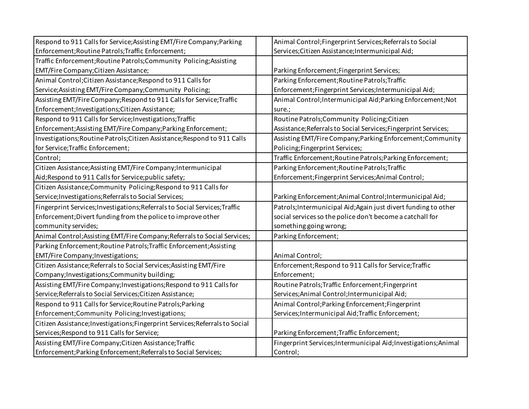| Respond to 911 Calls for Service; Assisting EMT/Fire Company; Parking         | Animal Control; Fingerprint Services; Referrals to Social        |
|-------------------------------------------------------------------------------|------------------------------------------------------------------|
| Enforcement; Routine Patrols; Traffic Enforcement;                            | Services; Citizen Assistance; Intermunicipal Aid;                |
| Traffic Enforcement; Routine Patrols; Community Policing; Assisting           |                                                                  |
| EMT/Fire Company; Citizen Assistance;                                         | Parking Enforcement; Fingerprint Services;                       |
| Animal Control; Citizen Assistance; Respond to 911 Calls for                  | Parking Enforcement; Routine Patrols; Traffic                    |
| Service; Assisting EMT/Fire Company; Community Policing;                      | Enforcement;Fingerprint Services;Intermunicipal Aid;             |
| Assisting EMT/Fire Company; Respond to 911 Calls for Service; Traffic         | Animal Control; Intermunicipal Aid; Parking Enforcement; Not     |
| Enforcement; Investigations; Citizen Assistance;                              | sure.;                                                           |
| Respond to 911 Calls for Service; Investigations; Traffic                     | Routine Patrols; Community Policing; Citizen                     |
| Enforcement; Assisting EMT/Fire Company; Parking Enforcement;                 | Assistance; Referrals to Social Services; Fingerprint Services;  |
| Investigations; Routine Patrols; Citizen Assistance; Respond to 911 Calls     | Assisting EMT/Fire Company; Parking Enforcement; Community       |
| for Service; Traffic Enforcement;                                             | Policing; Fingerprint Services;                                  |
| Control;                                                                      | Traffic Enforcement; Routine Patrols; Parking Enforcement;       |
| Citizen Assistance; Assisting EMT/Fire Company; Intermunicipal                | Parking Enforcement; Routine Patrols; Traffic                    |
| Aid; Respond to 911 Calls for Service; public safety;                         | Enforcement; Fingerprint Services; Animal Control;               |
| Citizen Assistance; Community Policing; Respond to 911 Calls for              |                                                                  |
| Service; Investigations; Referrals to Social Services;                        | Parking Enforcement; Animal Control; Intermunicipal Aid;         |
| Fingerprint Services; Investigations; Referrals to Social Services; Traffic   | Patrols; Intermunicipal Aid; Again just divert funding to other  |
| Enforcement; Divert funding from the police to improve other                  | social services so the police don't become a catchall for        |
| community servides;                                                           | something going wrong;                                           |
| Animal Control; Assisting EMT/Fire Company; Referrals to Social Services;     | Parking Enforcement;                                             |
| Parking Enforcement; Routine Patrols; Traffic Enforcement; Assisting          |                                                                  |
| EMT/Fire Company; Investigations;                                             | Animal Control;                                                  |
| Citizen Assistance; Referrals to Social Services; Assisting EMT/Fire          | Enforcement; Respond to 911 Calls for Service; Traffic           |
| Company; Investigations; Community building;                                  | Enforcement;                                                     |
| Assisting EMT/Fire Company; Investigations; Respond to 911 Calls for          | Routine Patrols; Traffic Enforcement; Fingerprint                |
| Service; Referrals to Social Services; Citizen Assistance;                    | Services; Animal Control; Intermunicipal Aid;                    |
| Respond to 911 Calls for Service; Routine Patrols; Parking                    | Animal Control; Parking Enforcement; Fingerprint                 |
| Enforcement; Community Policing; Investigations;                              | Services; Intermunicipal Aid; Traffic Enforcement;               |
| Citizen Assistance; Investigations; Fingerprint Services; Referrals to Social |                                                                  |
| Services; Respond to 911 Calls for Service;                                   | Parking Enforcement; Traffic Enforcement;                        |
| Assisting EMT/Fire Company; Citizen Assistance; Traffic                       | Fingerprint Services; Intermunicipal Aid; Investigations; Animal |
| Enforcement; Parking Enforcement; Referrals to Social Services;               | Control;                                                         |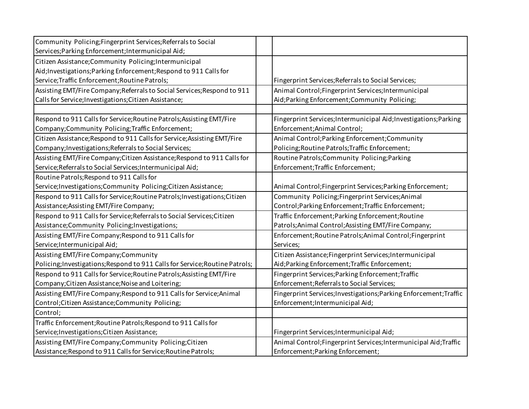| Community Policing; Fingerprint Services; Referrals to Social                |                                                                    |
|------------------------------------------------------------------------------|--------------------------------------------------------------------|
| Services; Parking Enforcement; Intermunicipal Aid;                           |                                                                    |
| Citizen Assistance; Community Policing; Intermunicipal                       |                                                                    |
| Aid; Investigations; Parking Enforcement; Respond to 911 Calls for           |                                                                    |
| Service; Traffic Enforcement; Routine Patrols;                               | Fingerprint Services; Referrals to Social Services;                |
| Assisting EMT/Fire Company; Referrals to Social Services; Respond to 911     | Animal Control; Fingerprint Services; Intermunicipal               |
| Calls for Service; Investigations; Citizen Assistance;                       | Aid; Parking Enforcement; Community Policing;                      |
|                                                                              |                                                                    |
| Respond to 911 Calls for Service; Routine Patrols; Assisting EMT/Fire        | Fingerprint Services; Intermunicipal Aid; Investigations; Parking  |
| Company;Community Policing;Traffic Enforcement;                              | Enforcement; Animal Control;                                       |
| Citizen Assistance; Respond to 911 Calls for Service; Assisting EMT/Fire     | Animal Control; Parking Enforcement; Community                     |
| Company; Investigations; Referrals to Social Services;                       | Policing; Routine Patrols; Traffic Enforcement;                    |
| Assisting EMT/Fire Company; Citizen Assistance; Respond to 911 Calls for     | Routine Patrols; Community Policing; Parking                       |
| Service; Referrals to Social Services; Intermunicipal Aid;                   | Enforcement; Traffic Enforcement;                                  |
| Routine Patrols; Respond to 911 Calls for                                    |                                                                    |
| Service; Investigations; Community Policing; Citizen Assistance;             | Animal Control; Fingerprint Services; Parking Enforcement;         |
| Respond to 911 Calls for Service; Routine Patrols; Investigations; Citizen   | Community Policing; Fingerprint Services; Animal                   |
| Assistance; Assisting EMT/Fire Company;                                      | Control; Parking Enforcement; Traffic Enforcement;                 |
| Respond to 911 Calls for Service; Referrals to Social Services; Citizen      | Traffic Enforcement; Parking Enforcement; Routine                  |
| Assistance; Community Policing; Investigations;                              | Patrols; Animal Control; Assisting EMT/Fire Company;               |
| Assisting EMT/Fire Company; Respond to 911 Calls for                         | Enforcement; Routine Patrols; Animal Control; Fingerprint          |
| Service; Intermunicipal Aid;                                                 | Services;                                                          |
| Assisting EMT/Fire Company; Community                                        | Citizen Assistance; Fingerprint Services; Intermunicipal           |
| Policing; Investigations; Respond to 911 Calls for Service; Routine Patrols; | Aid; Parking Enforcement; Traffic Enforcement;                     |
| Respond to 911 Calls for Service; Routine Patrols; Assisting EMT/Fire        | Fingerprint Services; Parking Enforcement; Traffic                 |
| Company; Citizen Assistance; Noise and Loitering;                            | Enforcement; Referrals to Social Services;                         |
| Assisting EMT/Fire Company; Respond to 911 Calls for Service; Animal         | Fingerprint Services; Investigations; Parking Enforcement; Traffic |
| Control; Citizen Assistance; Community Policing;                             | Enforcement; Intermunicipal Aid;                                   |
| Control;                                                                     |                                                                    |
| Traffic Enforcement; Routine Patrols; Respond to 911 Calls for               |                                                                    |
| Service; Investigations; Citizen Assistance;                                 | Fingerprint Services; Intermunicipal Aid;                          |
| Assisting EMT/Fire Company; Community Policing; Citizen                      | Animal Control; Fingerprint Services; Intermunicipal Aid; Traffic  |
| Assistance; Respond to 911 Calls for Service; Routine Patrols;               | Enforcement; Parking Enforcement;                                  |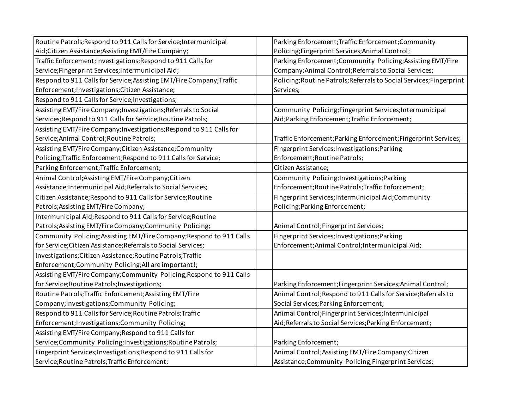| Routine Patrols; Respond to 911 Calls for Service; Intermunicipal     | Parking Enforcement; Traffic Enforcement; Community                  |
|-----------------------------------------------------------------------|----------------------------------------------------------------------|
| Aid; Citizen Assistance; Assisting EMT/Fire Company;                  | Policing;Fingerprint Services;Animal Control;                        |
| Traffic Enforcement; Investigations; Respond to 911 Calls for         | Parking Enforcement; Community Policing; Assisting EMT/Fire          |
| Service; Fingerprint Services; Intermunicipal Aid;                    | Company; Animal Control; Referrals to Social Services;               |
| Respond to 911 Calls for Service; Assisting EMT/Fire Company; Traffic | Policing; Routine Patrols; Referrals to Social Services; Fingerprint |
| Enforcement; Investigations; Citizen Assistance;                      | Services;                                                            |
| Respond to 911 Calls for Service; Investigations;                     |                                                                      |
| Assisting EMT/Fire Company; Investigations; Referrals to Social       | Community Policing; Fingerprint Services; Intermunicipal             |
| Services; Respond to 911 Calls for Service; Routine Patrols;          | Aid; Parking Enforcement; Traffic Enforcement;                       |
| Assisting EMT/Fire Company; Investigations; Respond to 911 Calls for  |                                                                      |
| Service; Animal Control; Routine Patrols;                             | Traffic Enforcement; Parking Enforcement; Fingerprint Services;      |
| Assisting EMT/Fire Company; Citizen Assistance; Community             | Fingerprint Services; Investigations; Parking                        |
| Policing; Traffic Enforcement; Respond to 911 Calls for Service;      | Enforcement; Routine Patrols;                                        |
| Parking Enforcement; Traffic Enforcement;                             | Citizen Assistance;                                                  |
| Animal Control; Assisting EMT/Fire Company; Citizen                   | Community Policing; Investigations; Parking                          |
| Assistance; Intermunicipal Aid; Referrals to Social Services;         | Enforcement; Routine Patrols; Traffic Enforcement;                   |
| Citizen Assistance; Respond to 911 Calls for Service; Routine         | Fingerprint Services; Intermunicipal Aid; Community                  |
| Patrols; Assisting EMT/Fire Company;                                  | Policing; Parking Enforcement;                                       |
| Intermunicipal Aid; Respond to 911 Calls for Service; Routine         |                                                                      |
| Patrols; Assisting EMT/Fire Company; Community Policing;              | Animal Control; Fingerprint Services;                                |
| Community Policing; Assisting EMT/Fire Company; Respond to 911 Calls  | Fingerprint Services; Investigations; Parking                        |
| for Service; Citizen Assistance; Referrals to Social Services;        | Enforcement; Animal Control; Intermunicipal Aid;                     |
| Investigations; Citizen Assistance; Routine Patrols; Traffic          |                                                                      |
| Enforcement; Community Policing; All are important!;                  |                                                                      |
| Assisting EMT/Fire Company; Community Policing; Respond to 911 Calls  |                                                                      |
| for Service; Routine Patrols; Investigations;                         | Parking Enforcement; Fingerprint Services; Animal Control;           |
| Routine Patrols; Traffic Enforcement; Assisting EMT/Fire              | Animal Control; Respond to 911 Calls for Service; Referrals to       |
| Company; Investigations; Community Policing;                          | Social Services; Parking Enforcement;                                |
| Respond to 911 Calls for Service; Routine Patrols; Traffic            | Animal Control; Fingerprint Services; Intermunicipal                 |
| Enforcement; Investigations; Community Policing;                      | Aid; Referrals to Social Services; Parking Enforcement;              |
| Assisting EMT/Fire Company; Respond to 911 Calls for                  |                                                                      |
| Service;Community Policing;Investigations;Routine Patrols;            | Parking Enforcement;                                                 |
| Fingerprint Services; Investigations; Respond to 911 Calls for        | Animal Control; Assisting EMT/Fire Company; Citizen                  |
| Service; Routine Patrols; Traffic Enforcement;                        | Assistance; Community Policing; Fingerprint Services;                |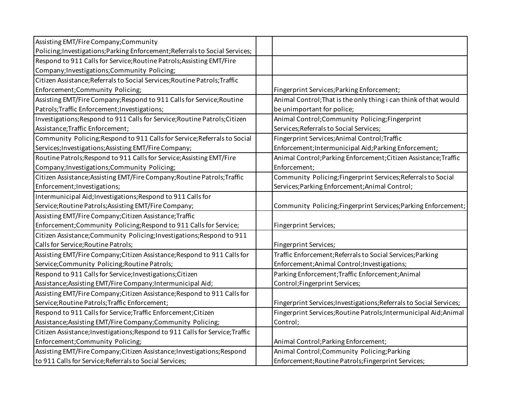| Assisting EMT/Fire Company; Community                                         |                                                                     |
|-------------------------------------------------------------------------------|---------------------------------------------------------------------|
| Policing; Investigations; Parking Enforcement; Referrals to Social Services;  |                                                                     |
| Respond to 911 Calls for Service; Routine Patrols; Assisting EMT/Fire         |                                                                     |
| Company; Investigations; Community Policing;                                  |                                                                     |
| Citizen Assistance; Referrals to Social Services; Routine Patrols; Traffic    |                                                                     |
| Enforcement; Community Policing;                                              | Fingerprint Services; Parking Enforcement;                          |
| Assisting EMT/Fire Company; Respond to 911 Calls for Service; Routine         | Animal Control; That is the only thing i can think of that would    |
| Patrols; Traffic Enforcement; Investigations;                                 | be unimportant for police;                                          |
| Investigations; Respond to 911 Calls for Service; Routine Patrols; Citizen    | Animal Control; Community Policing; Fingerprint                     |
| Assistance; Traffic Enforcement;                                              | Services; Referrals to Social Services;                             |
| Community Policing; Respond to 911 Calls for Service; Referrals to Social     | Fingerprint Services; Animal Control; Traffic                       |
| Services; Investigations; Assisting EMT/Fire Company;                         | Enforcement; Intermunicipal Aid; Parking Enforcement;               |
| Routine Patrols; Respond to 911 Calls for Service; Assisting EMT/Fire         | Animal Control; Parking Enforcement; Citizen Assistance; Traffic    |
| Company; Investigations; Community Policing;                                  | Enforcement;                                                        |
| Citizen Assistance; Assisting EMT/Fire Company; Routine Patrols; Traffic      | Community Policing; Fingerprint Services; Referrals to Social       |
| Enforcement; Investigations;                                                  | Services; Parking Enforcement; Animal Control;                      |
| Intermunicipal Aid; Investigations; Respond to 911 Calls for                  |                                                                     |
| Service; Routine Patrols; Assisting EMT/Fire Company;                         | Community Policing; Fingerprint Services; Parking Enforcement;      |
| Assisting EMT/Fire Company; Citizen Assistance; Traffic                       |                                                                     |
| Enforcement; Community Policing; Respond to 911 Calls for Service;            | Fingerprint Services;                                               |
| Citizen Assistance; Community Policing; Investigations; Respond to 911        |                                                                     |
| Calls for Service; Routine Patrols;                                           | Fingerprint Services;                                               |
| Assisting EMT/Fire Company; Citizen Assistance; Respond to 911 Calls for      | Traffic Enforcement; Referrals to Social Services; Parking          |
| Service;Community Policing;Routine Patrols;                                   | Enforcement; Animal Control; Investigations;                        |
| Respond to 911 Calls for Service; Investigations; Citizen                     | Parking Enforcement; Traffic Enforcement; Animal                    |
| Assistance; Assisting EMT/Fire Company; Intermunicipal Aid;                   | Control; Fingerprint Services;                                      |
| Assisting EMT/Fire Company; Citizen Assistance; Respond to 911 Calls for      |                                                                     |
| Service; Routine Patrols; Traffic Enforcement;                                | Fingerprint Services; Investigations; Referrals to Social Services; |
| Respond to 911 Calls for Service; Traffic Enforcement; Citizen                | Fingerprint Services; Routine Patrols; Intermunicipal Aid; Animal   |
| Assistance; Assisting EMT/Fire Company; Community Policing;                   | Control;                                                            |
| Citizen Assistance; Investigations; Respond to 911 Calls for Service; Traffic |                                                                     |
| Enforcement; Community Policing;                                              | Animal Control; Parking Enforcement;                                |
| Assisting EMT/Fire Company; Citizen Assistance; Investigations; Respond       | Animal Control; Community Policing; Parking                         |
| to 911 Calls for Service; Referrals to Social Services;                       | Enforcement; Routine Patrols; Fingerprint Services;                 |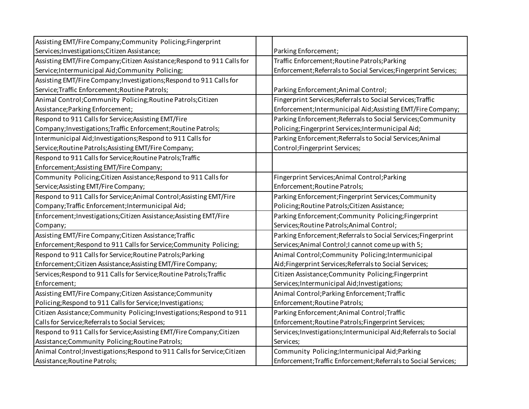| Assisting EMT/Fire Company; Community Policing; Fingerprint               |                                                                   |
|---------------------------------------------------------------------------|-------------------------------------------------------------------|
| Services; Investigations; Citizen Assistance;                             | Parking Enforcement;                                              |
| Assisting EMT/Fire Company; Citizen Assistance; Respond to 911 Calls for  | Traffic Enforcement; Routine Patrols; Parking                     |
| Service; Intermunicipal Aid; Community Policing;                          | Enforcement; Referrals to Social Services; Fingerprint Services;  |
| Assisting EMT/Fire Company; Investigations; Respond to 911 Calls for      |                                                                   |
| Service; Traffic Enforcement; Routine Patrols;                            | Parking Enforcement; Animal Control;                              |
| Animal Control; Community Policing; Routine Patrols; Citizen              | Fingerprint Services; Referrals to Social Services; Traffic       |
| Assistance; Parking Enforcement;                                          | Enforcement; Intermunicipal Aid; Assisting EMT/Fire Company;      |
| Respond to 911 Calls for Service; Assisting EMT/Fire                      | Parking Enforcement; Referrals to Social Services; Community      |
| Company; Investigations; Traffic Enforcement; Routine Patrols;            | Policing; Fingerprint Services; Intermunicipal Aid;               |
| Intermunicipal Aid; Investigations; Respond to 911 Calls for              | Parking Enforcement; Referrals to Social Services; Animal         |
| Service; Routine Patrols; Assisting EMT/Fire Company;                     | Control; Fingerprint Services;                                    |
| Respond to 911 Calls for Service; Routine Patrols; Traffic                |                                                                   |
| Enforcement; Assisting EMT/Fire Company;                                  |                                                                   |
| Community Policing; Citizen Assistance; Respond to 911 Calls for          | Fingerprint Services; Animal Control; Parking                     |
| Service; Assisting EMT/Fire Company;                                      | Enforcement; Routine Patrols;                                     |
| Respond to 911 Calls for Service; Animal Control; Assisting EMT/Fire      | Parking Enforcement; Fingerprint Services; Community              |
| Company; Traffic Enforcement; Intermunicipal Aid;                         | Policing; Routine Patrols; Citizen Assistance;                    |
| Enforcement; Investigations; Citizen Assistance; Assisting EMT/Fire       | Parking Enforcement; Community Policing; Fingerprint              |
| Company;                                                                  | Services; Routine Patrols; Animal Control;                        |
| Assisting EMT/Fire Company; Citizen Assistance; Traffic                   | Parking Enforcement; Referrals to Social Services; Fingerprint    |
| Enforcement; Respond to 911 Calls for Service; Community Policing;        | Services; Animal Control; I cannot come up with 5;                |
| Respond to 911 Calls for Service; Routine Patrols; Parking                | Animal Control; Community Policing; Intermunicipal                |
| Enforcement; Citizen Assistance; Assisting EMT/Fire Company;              | Aid; Fingerprint Services; Referrals to Social Services;          |
| Services; Respond to 911 Calls for Service; Routine Patrols; Traffic      | Citizen Assistance; Community Policing; Fingerprint               |
| Enforcement;                                                              | Services; Intermunicipal Aid; Investigations;                     |
| Assisting EMT/Fire Company; Citizen Assistance; Community                 | Animal Control; Parking Enforcement; Traffic                      |
| Policing; Respond to 911 Calls for Service; Investigations;               | Enforcement; Routine Patrols;                                     |
| Citizen Assistance; Community Policing; Investigations; Respond to 911    | Parking Enforcement; Animal Control; Traffic                      |
| Calls for Service; Referrals to Social Services;                          | Enforcement; Routine Patrols; Fingerprint Services;               |
| Respond to 911 Calls for Service; Assisting EMT/Fire Company; Citizen     | Services; Investigations; Intermunicipal Aid; Referrals to Social |
| Assistance; Community Policing; Routine Patrols;                          | Services;                                                         |
| Animal Control; Investigations; Respond to 911 Calls for Service; Citizen | Community Policing; Intermunicipal Aid; Parking                   |
| Assistance; Routine Patrols;                                              | Enforcement; Traffic Enforcement; Referrals to Social Services;   |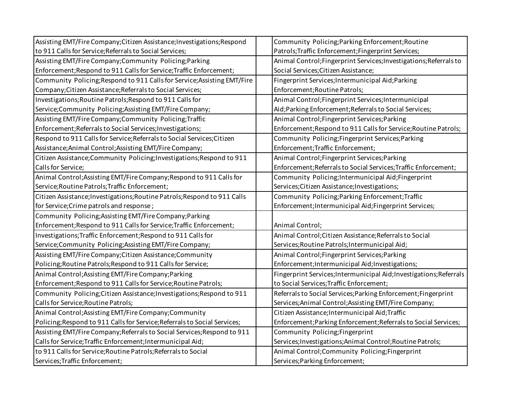| Assisting EMT/Fire Company; Citizen Assistance; Investigations; Respond   | Community Policing; Parking Enforcement; Routine                    |
|---------------------------------------------------------------------------|---------------------------------------------------------------------|
| to 911 Calls for Service; Referrals to Social Services;                   | Patrols; Traffic Enforcement; Fingerprint Services;                 |
| Assisting EMT/Fire Company; Community Policing; Parking                   | Animal Control; Fingerprint Services; Investigations; Referrals to  |
| Enforcement; Respond to 911 Calls for Service; Traffic Enforcement;       | Social Services; Citizen Assistance;                                |
| Community Policing; Respond to 911 Calls for Service; Assisting EMT/Fire  | Fingerprint Services; Intermunicipal Aid; Parking                   |
| Company; Citizen Assistance; Referrals to Social Services;                | Enforcement; Routine Patrols;                                       |
| Investigations; Routine Patrols; Respond to 911 Calls for                 | Animal Control; Fingerprint Services; Intermunicipal                |
| Service; Community Policing; Assisting EMT/Fire Company;                  | Aid; Parking Enforcement; Referrals to Social Services;             |
| Assisting EMT/Fire Company; Community Policing; Traffic                   | Animal Control; Fingerprint Services; Parking                       |
| Enforcement; Referrals to Social Services; Investigations;                | Enforcement; Respond to 911 Calls for Service; Routine Patrols;     |
| Respond to 911 Calls for Service; Referrals to Social Services; Citizen   | Community Policing; Fingerprint Services; Parking                   |
| Assistance; Animal Control; Assisting EMT/Fire Company;                   | Enforcement; Traffic Enforcement;                                   |
| Citizen Assistance; Community Policing; Investigations; Respond to 911    | Animal Control; Fingerprint Services; Parking                       |
| Calls for Service;                                                        | Enforcement; Referrals to Social Services; Traffic Enforcement;     |
| Animal Control; Assisting EMT/Fire Company; Respond to 911 Calls for      | Community Policing; Intermunicipal Aid; Fingerprint                 |
| Service; Routine Patrols; Traffic Enforcement;                            | Services; Citizen Assistance; Investigations;                       |
| Citizen Assistance; Investigations; Routine Patrols; Respond to 911 Calls | Community Policing; Parking Enforcement; Traffic                    |
| for Service; Crime patrols and response;                                  | Enforcement; Intermunicipal Aid; Fingerprint Services;              |
| Community Policing; Assisting EMT/Fire Company; Parking                   |                                                                     |
| Enforcement; Respond to 911 Calls for Service; Traffic Enforcement;       | Animal Control;                                                     |
| Investigations; Traffic Enforcement; Respond to 911 Calls for             | Animal Control; Citizen Assistance; Referrals to Social             |
| Service; Community Policing; Assisting EMT/Fire Company;                  | Services; Routine Patrols; Intermunicipal Aid;                      |
| Assisting EMT/Fire Company; Citizen Assistance; Community                 | Animal Control; Fingerprint Services; Parking                       |
| Policing; Routine Patrols; Respond to 911 Calls for Service;              | Enforcement; Intermunicipal Aid; Investigations;                    |
| Animal Control; Assisting EMT/Fire Company; Parking                       | Fingerprint Services; Intermunicipal Aid; Investigations; Referrals |
| Enforcement; Respond to 911 Calls for Service; Routine Patrols;           | to Social Services; Traffic Enforcement;                            |
| Community Policing; Citizen Assistance; Investigations; Respond to 911    | Referrals to Social Services; Parking Enforcement; Fingerprint      |
| Calls for Service; Routine Patrols;                                       | Services; Animal Control; Assisting EMT/Fire Company;               |
| Animal Control; Assisting EMT/Fire Company; Community                     | Citizen Assistance; Intermunicipal Aid; Traffic                     |
| Policing; Respond to 911 Calls for Service; Referrals to Social Services; | Enforcement; Parking Enforcement; Referrals to Social Services;     |
| Assisting EMT/Fire Company; Referrals to Social Services; Respond to 911  | Community Policing; Fingerprint                                     |
| Calls for Service; Traffic Enforcement; Intermunicipal Aid;               | Services; Investigations; Animal Control; Routine Patrols;          |
| to 911 Calls for Service; Routine Patrols; Referrals to Social            | Animal Control; Community Policing; Fingerprint                     |
| Services; Traffic Enforcement;                                            | Services; Parking Enforcement;                                      |